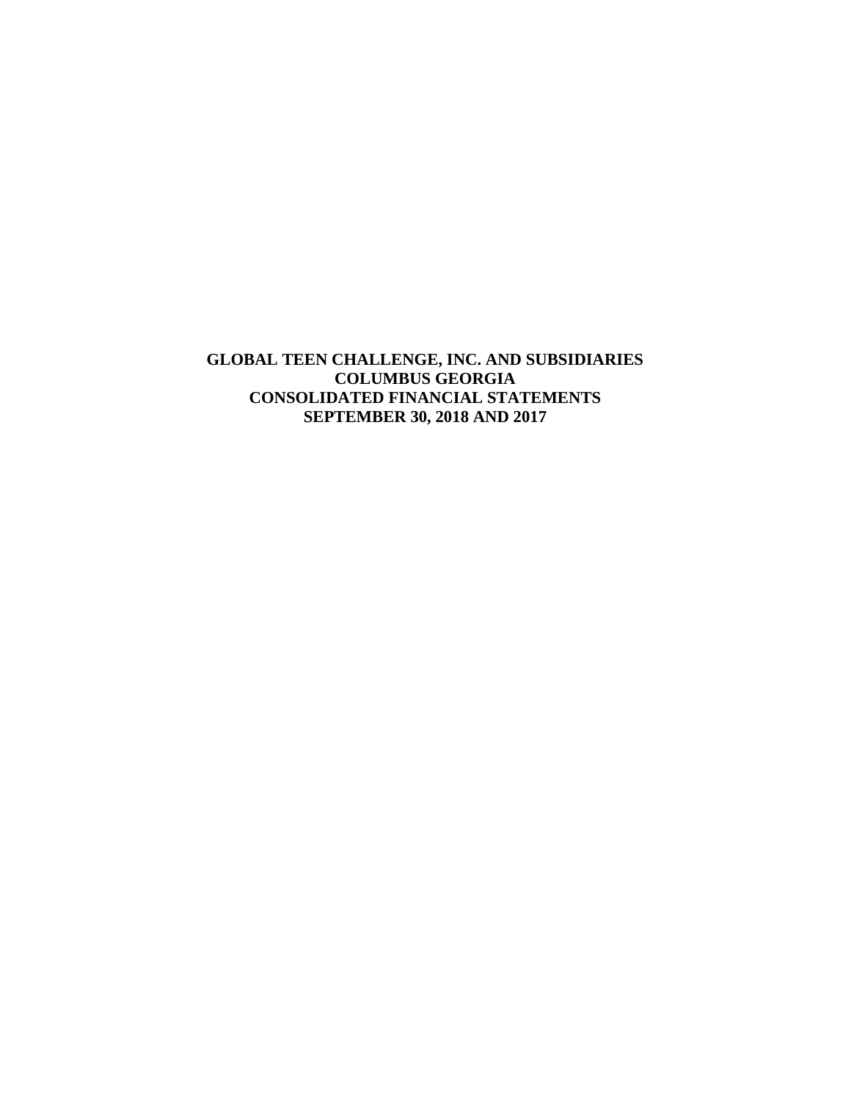**GLOBAL TEEN CHALLENGE, INC. AND SUBSIDIARIES COLUMBUS GEORGIA CONSOLIDATED FINANCIAL STATEMENTS SEPTEMBER 30, 2018 AND 2017**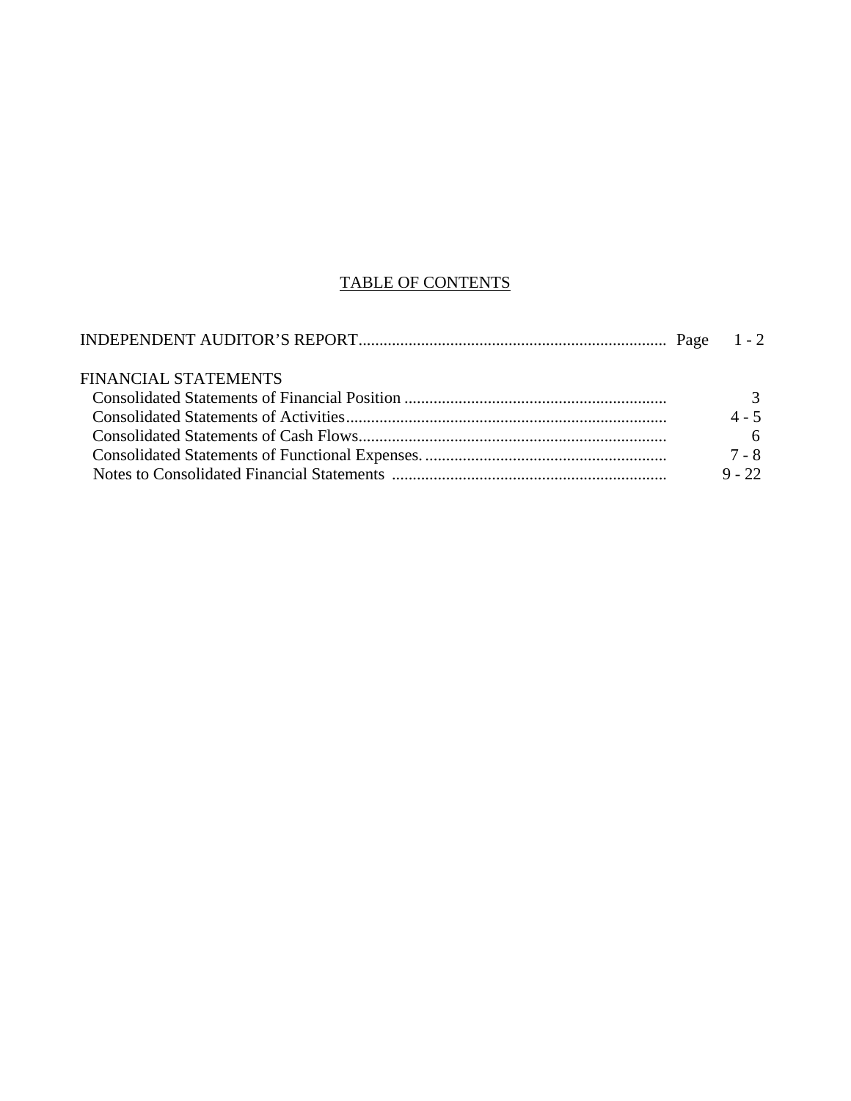## TABLE OF CONTENTS

| <b>FINANCIAL STATEMENTS</b> |          |
|-----------------------------|----------|
|                             |          |
|                             | $4 - 5$  |
|                             |          |
|                             | 7 - 8    |
|                             | $9 - 22$ |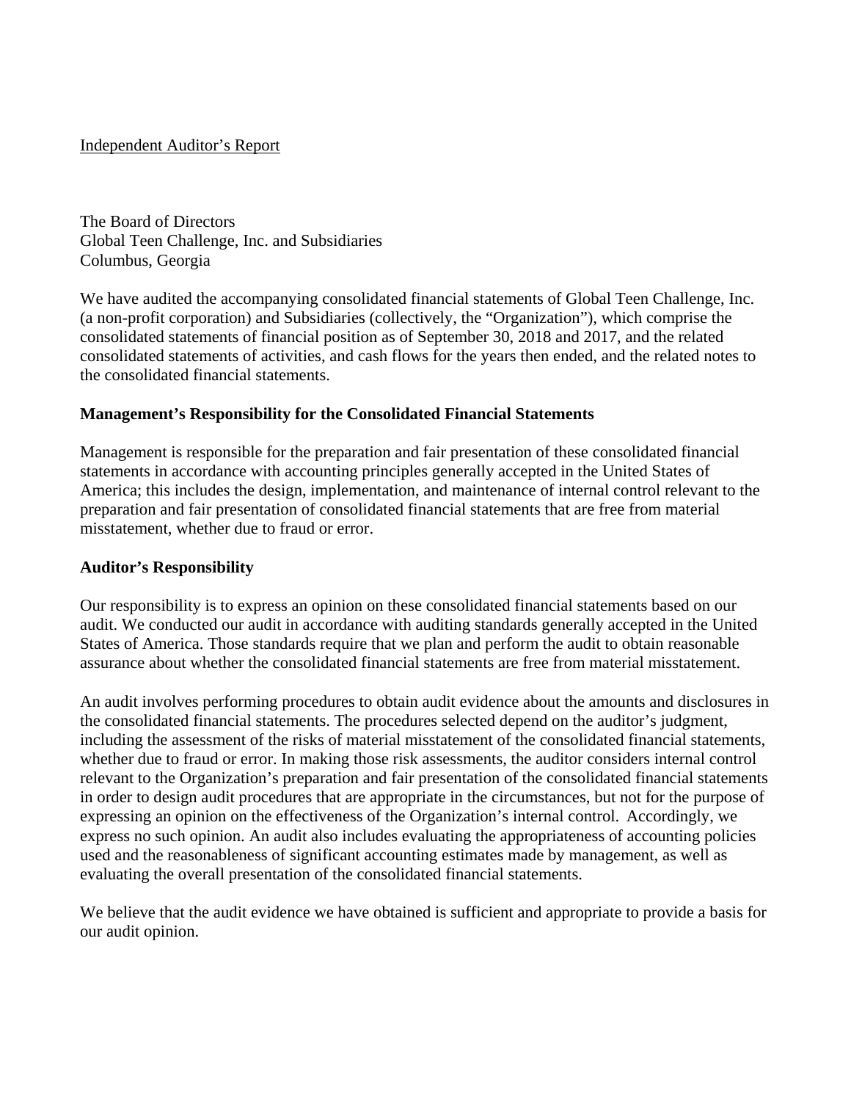### Independent Auditor's Report

The Board of Directors Global Teen Challenge, Inc. and Subsidiaries Columbus, Georgia

We have audited the accompanying consolidated financial statements of Global Teen Challenge, Inc. (a non-profit corporation) and Subsidiaries (collectively, the "Organization"), which comprise the consolidated statements of financial position as of September 30, 2018 and 2017, and the related consolidated statements of activities, and cash flows for the years then ended, and the related notes to the consolidated financial statements.

## **Management's Responsibility for the Consolidated Financial Statements**

Management is responsible for the preparation and fair presentation of these consolidated financial statements in accordance with accounting principles generally accepted in the United States of America; this includes the design, implementation, and maintenance of internal control relevant to the preparation and fair presentation of consolidated financial statements that are free from material misstatement, whether due to fraud or error.

### **Auditor's Responsibility**

Our responsibility is to express an opinion on these consolidated financial statements based on our audit. We conducted our audit in accordance with auditing standards generally accepted in the United States of America. Those standards require that we plan and perform the audit to obtain reasonable assurance about whether the consolidated financial statements are free from material misstatement.

An audit involves performing procedures to obtain audit evidence about the amounts and disclosures in the consolidated financial statements. The procedures selected depend on the auditor's judgment, including the assessment of the risks of material misstatement of the consolidated financial statements, whether due to fraud or error. In making those risk assessments, the auditor considers internal control relevant to the Organization's preparation and fair presentation of the consolidated financial statements in order to design audit procedures that are appropriate in the circumstances, but not for the purpose of expressing an opinion on the effectiveness of the Organization's internal control. Accordingly, we express no such opinion. An audit also includes evaluating the appropriateness of accounting policies used and the reasonableness of significant accounting estimates made by management, as well as evaluating the overall presentation of the consolidated financial statements.

We believe that the audit evidence we have obtained is sufficient and appropriate to provide a basis for our audit opinion.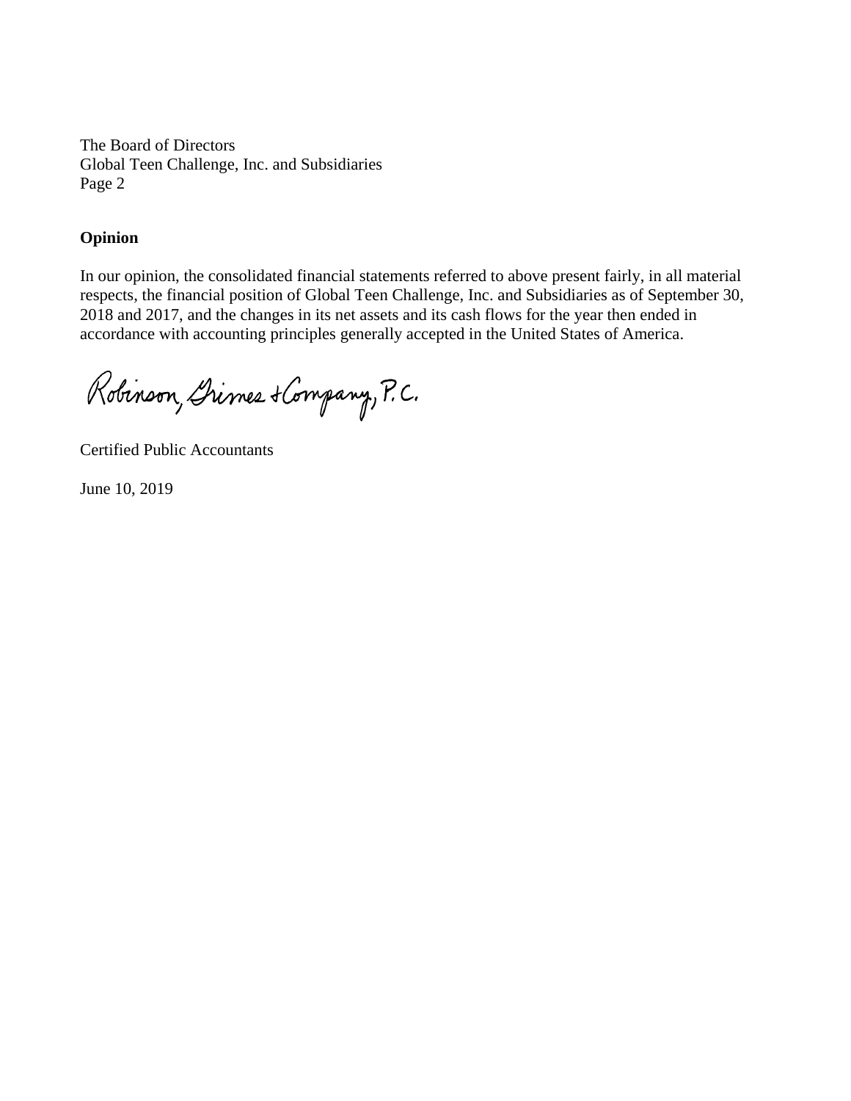The Board of Directors Global Teen Challenge, Inc. and Subsidiaries Page 2

### **Opinion**

In our opinion, the consolidated financial statements referred to above present fairly, in all material respects, the financial position of Global Teen Challenge, Inc. and Subsidiaries as of September 30, 2018 and 2017, and the changes in its net assets and its cash flows for the year then ended in accordance with accounting principles generally accepted in the United States of America.

Robinson, Dimes + Company, P.C.

Certified Public Accountants

June 10, 2019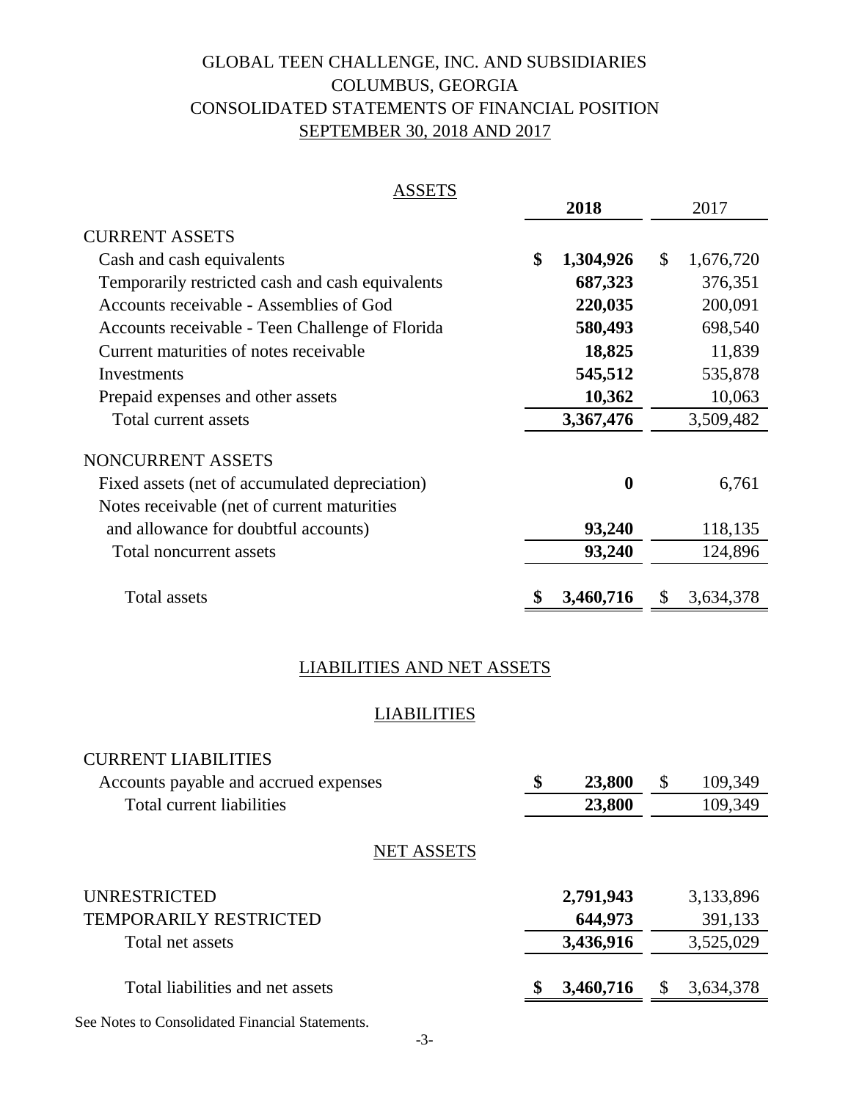# GLOBAL TEEN CHALLENGE, INC. AND SUBSIDIARIES SEPTEMBER 30, 2018 AND 2017 CONSOLIDATED STATEMENTS OF FINANCIAL POSITION COLUMBUS, GEORGIA

| <b>ASSETS</b>                                    |                  |                           |
|--------------------------------------------------|------------------|---------------------------|
|                                                  | 2018             | 2017                      |
| <b>CURRENT ASSETS</b>                            |                  |                           |
| Cash and cash equivalents                        | \$<br>1,304,926  | $\mathbb{S}$<br>1,676,720 |
| Temporarily restricted cash and cash equivalents | 687,323          | 376,351                   |
| Accounts receivable - Assemblies of God          | 220,035          | 200,091                   |
| Accounts receivable - Teen Challenge of Florida  | 580,493          | 698,540                   |
| Current maturities of notes receivable           | 18,825           | 11,839                    |
| Investments                                      | 545,512          | 535,878                   |
| Prepaid expenses and other assets                | 10,362           | 10,063                    |
| Total current assets                             | 3,367,476        | 3,509,482                 |
| NONCURRENT ASSETS                                |                  |                           |
| Fixed assets (net of accumulated depreciation)   | $\boldsymbol{0}$ | 6,761                     |
| Notes receivable (net of current maturities)     |                  |                           |
| and allowance for doubtful accounts)             | 93,240           | 118,135                   |
| Total noncurrent assets                          | 93,240           | 124,896                   |
|                                                  |                  |                           |
| Total assets                                     | 3,460,716<br>5   | 3,634,378<br>$\mathbb{S}$ |

## LIABILITIES AND NET ASSETS

## **LIABILITIES**

| <b>CURRENT LIABILITIES</b><br>Accounts payable and accrued expenses | \$<br>23,800 | \$<br>109,349 |
|---------------------------------------------------------------------|--------------|---------------|
| Total current liabilities                                           | 23,800       | 109,349       |
| <b>NET ASSETS</b>                                                   |              |               |
| UNRESTRICTED                                                        | 2,791,943    | 3,133,896     |
| TEMPORARILY RESTRICTED                                              | 644,973      | 391,133       |
| Total net assets                                                    | 3,436,916    | 3,525,029     |
| Total liabilities and net assets                                    | 3,460,716    | 3,634,378     |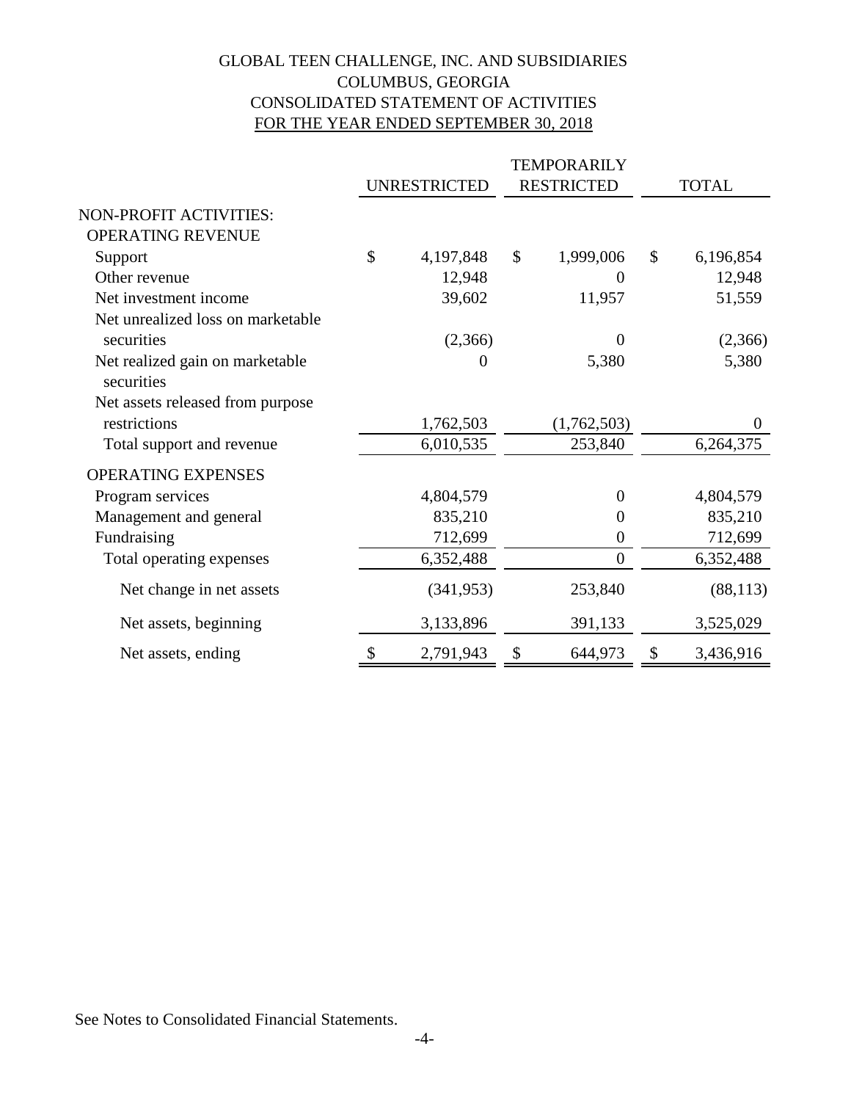## GLOBAL TEEN CHALLENGE, INC. AND SUBSIDIARIES COLUMBUS, GEORGIA CONSOLIDATED STATEMENT OF ACTIVITIES FOR THE YEAR ENDED SEPTEMBER 30, 2018

|                                               |               | UNRESTRICTED |               | <b>RESTRICTED</b> |               | <b>TOTAL</b> |
|-----------------------------------------------|---------------|--------------|---------------|-------------------|---------------|--------------|
| NON-PROFIT ACTIVITIES:                        |               |              |               |                   |               |              |
| OPERATING REVENUE                             |               |              |               |                   |               |              |
| Support                                       | $\mathcal{S}$ | 4,197,848    | $\mathcal{S}$ | 1,999,006         | $\mathcal{S}$ | 6,196,854    |
| Other revenue                                 |               | 12,948       |               | $\Omega$          |               | 12,948       |
| Net investment income                         |               | 39,602       |               | 11,957            |               | 51,559       |
| Net unrealized loss on marketable             |               |              |               |                   |               |              |
| securities                                    |               | (2,366)      |               | $\Omega$          |               | (2,366)      |
| Net realized gain on marketable<br>securities |               | 0            |               | 5,380             |               | 5,380        |
| Net assets released from purpose              |               |              |               |                   |               |              |
| restrictions                                  |               | 1,762,503    |               | (1,762,503)       |               | $\theta$     |
| Total support and revenue                     |               | 6,010,535    |               | 253,840           |               | 6,264,375    |
| <b>OPERATING EXPENSES</b>                     |               |              |               |                   |               |              |
| Program services                              |               | 4,804,579    |               | $\theta$          |               | 4,804,579    |
| Management and general                        |               | 835,210      |               | $\overline{0}$    |               | 835,210      |
| Fundraising                                   |               | 712,699      |               | $\boldsymbol{0}$  |               | 712,699      |
| Total operating expenses                      |               | 6,352,488    |               | $\mathbf{0}$      |               | 6,352,488    |
| Net change in net assets                      |               | (341, 953)   |               | 253,840           |               | (88, 113)    |
| Net assets, beginning                         |               | 3,133,896    |               | 391,133           |               | 3,525,029    |
| Net assets, ending                            | \$            | 2,791,943    | \$            | 644,973           | \$            | 3,436,916    |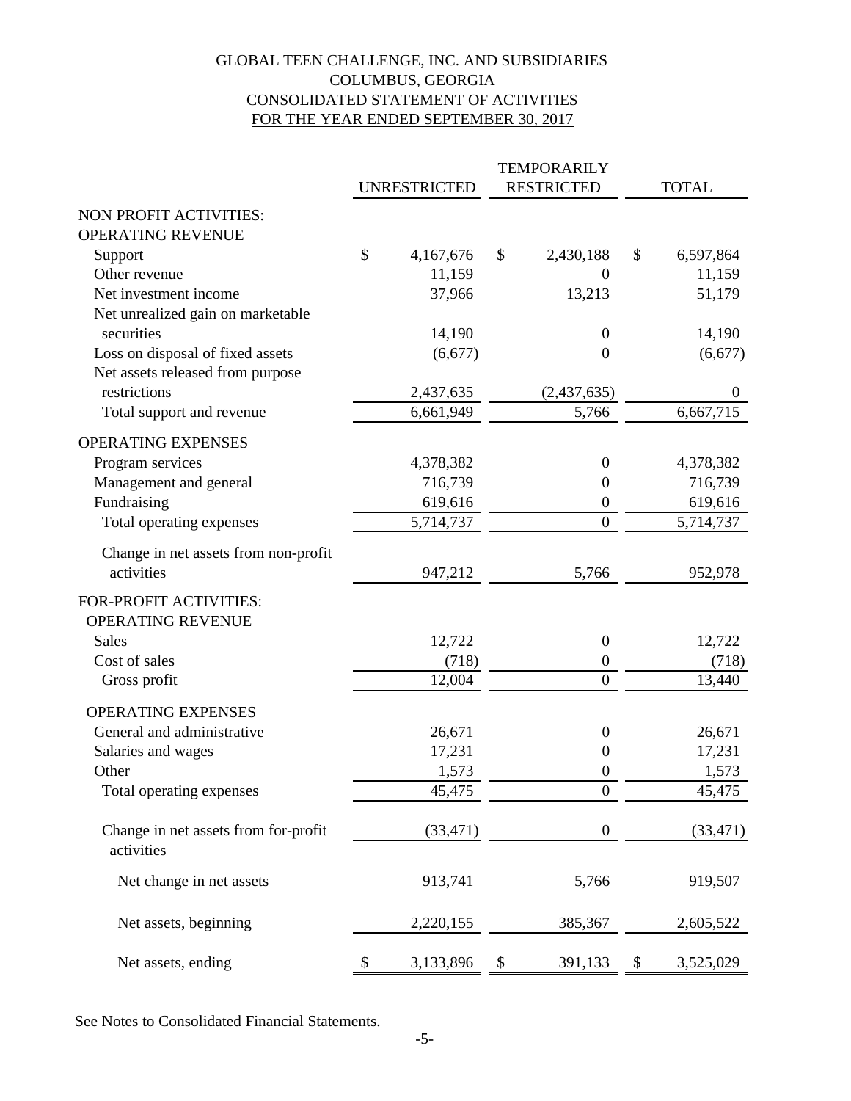## GLOBAL TEEN CHALLENGE, INC. AND SUBSIDIARIES COLUMBUS, GEORGIA CONSOLIDATED STATEMENT OF ACTIVITIES FOR THE YEAR ENDED SEPTEMBER 30, 2017

|                                      |                     | <b>TEMPORARILY</b> |                   |              |                  |  |
|--------------------------------------|---------------------|--------------------|-------------------|--------------|------------------|--|
|                                      | <b>UNRESTRICTED</b> |                    | <b>RESTRICTED</b> | <b>TOTAL</b> |                  |  |
| NON PROFIT ACTIVITIES:               |                     |                    |                   |              |                  |  |
| OPERATING REVENUE                    |                     |                    |                   |              |                  |  |
| Support                              | \$<br>4,167,676     | \$                 | 2,430,188         | \$           | 6,597,864        |  |
| Other revenue                        | 11,159              |                    | $\boldsymbol{0}$  |              | 11,159           |  |
| Net investment income                | 37,966              |                    | 13,213            |              | 51,179           |  |
| Net unrealized gain on marketable    |                     |                    |                   |              |                  |  |
| securities                           | 14,190              |                    | $\boldsymbol{0}$  |              | 14,190           |  |
| Loss on disposal of fixed assets     | (6,677)             |                    | $\theta$          |              | (6,677)          |  |
| Net assets released from purpose     |                     |                    |                   |              |                  |  |
| restrictions                         | 2,437,635           |                    | (2,437,635)       |              | $\boldsymbol{0}$ |  |
| Total support and revenue            | 6,661,949           |                    | 5,766             |              | 6,667,715        |  |
| <b>OPERATING EXPENSES</b>            |                     |                    |                   |              |                  |  |
| Program services                     | 4,378,382           |                    | $\boldsymbol{0}$  |              | 4,378,382        |  |
| Management and general               | 716,739             |                    | $\mathbf{0}$      |              | 716,739          |  |
| Fundraising                          | 619,616             |                    | $\boldsymbol{0}$  |              | 619,616          |  |
| Total operating expenses             | 5,714,737           |                    | $\boldsymbol{0}$  |              | 5,714,737        |  |
| Change in net assets from non-profit |                     |                    |                   |              |                  |  |
| activities                           | 947,212             |                    | 5,766             |              | 952,978          |  |
| FOR-PROFIT ACTIVITIES:               |                     |                    |                   |              |                  |  |
| OPERATING REVENUE                    |                     |                    |                   |              |                  |  |
| Sales                                | 12,722              |                    | $\boldsymbol{0}$  |              | 12,722           |  |
| Cost of sales                        | (718)               |                    | $\boldsymbol{0}$  |              | (718)            |  |
| Gross profit                         | 12,004              |                    | $\mathbf{0}$      |              | 13,440           |  |
| OPERATING EXPENSES                   |                     |                    |                   |              |                  |  |
| General and administrative           | 26,671              |                    | $\boldsymbol{0}$  |              | 26,671           |  |
| Salaries and wages                   | 17,231              |                    | $\boldsymbol{0}$  |              | 17,231           |  |
| Other                                | 1,573               |                    | $\mathbf{0}$      |              | 1,573            |  |
| Total operating expenses             | 45,475              |                    | $\boldsymbol{0}$  |              | 45,475           |  |
| Change in net assets from for-profit | (33, 471)           |                    | $\mathbf{0}$      |              | (33, 471)        |  |
| activities                           |                     |                    |                   |              |                  |  |
| Net change in net assets             | 913,741             |                    | 5,766             |              | 919,507          |  |
| Net assets, beginning                | 2,220,155           |                    | 385,367           |              | 2,605,522        |  |
| Net assets, ending                   | \$<br>3,133,896     | \$                 | 391,133           | \$           | 3,525,029        |  |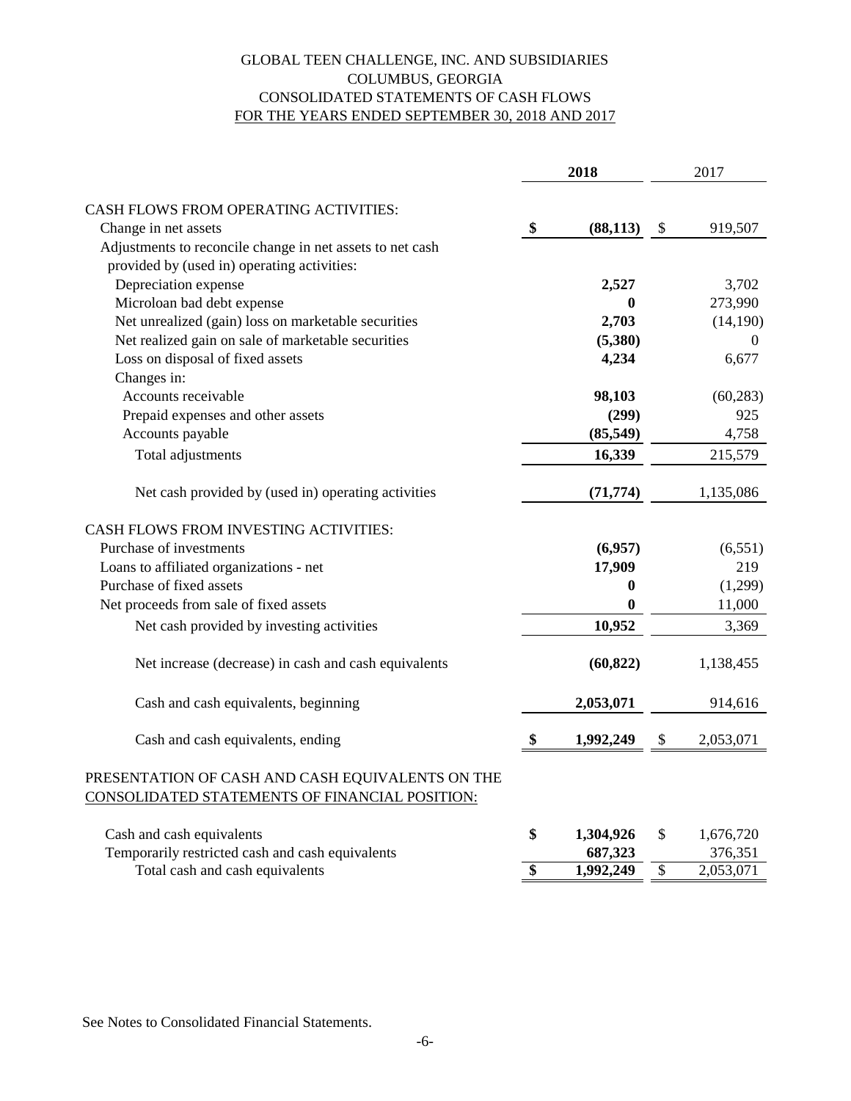### FOR THE YEARS ENDED SEPTEMBER 30, 2018 AND 2017 CONSOLIDATED STATEMENTS OF CASH FLOWS COLUMBUS, GEORGIA GLOBAL TEEN CHALLENGE, INC. AND SUBSIDIARIES

|                                                                                                    |      | 2018             | 2017            |           |  |
|----------------------------------------------------------------------------------------------------|------|------------------|-----------------|-----------|--|
| CASH FLOWS FROM OPERATING ACTIVITIES:                                                              |      |                  |                 |           |  |
| Change in net assets                                                                               | \$   | (88, 113)        | \$              | 919,507   |  |
| Adjustments to reconcile change in net assets to net cash                                          |      |                  |                 |           |  |
| provided by (used in) operating activities:                                                        |      |                  |                 |           |  |
| Depreciation expense                                                                               |      | 2,527            |                 | 3,702     |  |
| Microloan bad debt expense                                                                         |      | $\mathbf{0}$     |                 | 273,990   |  |
| Net unrealized (gain) loss on marketable securities                                                |      | 2,703            |                 | (14,190)  |  |
| Net realized gain on sale of marketable securities                                                 |      | (5,380)          |                 | $\Omega$  |  |
| Loss on disposal of fixed assets                                                                   |      | 4,234            |                 | 6,677     |  |
| Changes in:                                                                                        |      |                  |                 |           |  |
| Accounts receivable                                                                                |      | 98,103           |                 | (60, 283) |  |
| Prepaid expenses and other assets                                                                  |      | (299)            |                 | 925       |  |
| Accounts payable                                                                                   |      | (85, 549)        |                 | 4,758     |  |
| Total adjustments                                                                                  |      | 16,339           |                 | 215,579   |  |
| Net cash provided by (used in) operating activities                                                |      | (71, 774)        |                 | 1,135,086 |  |
| CASH FLOWS FROM INVESTING ACTIVITIES:                                                              |      |                  |                 |           |  |
| Purchase of investments                                                                            |      | (6,957)          |                 | (6,551)   |  |
| Loans to affiliated organizations - net                                                            |      | 17,909           |                 | 219       |  |
| Purchase of fixed assets                                                                           |      | $\boldsymbol{0}$ |                 | (1,299)   |  |
| Net proceeds from sale of fixed assets                                                             |      | $\bf{0}$         |                 | 11,000    |  |
| Net cash provided by investing activities                                                          |      | 10,952           |                 | 3,369     |  |
| Net increase (decrease) in cash and cash equivalents                                               |      | (60, 822)        |                 | 1,138,455 |  |
| Cash and cash equivalents, beginning                                                               |      | 2,053,071        |                 | 914,616   |  |
| Cash and cash equivalents, ending                                                                  | - \$ | 1,992,249        | \$              | 2,053,071 |  |
| PRESENTATION OF CASH AND CASH EQUIVALENTS ON THE<br>CONSOLIDATED STATEMENTS OF FINANCIAL POSITION: |      |                  |                 |           |  |
| Cash and cash equivalents                                                                          | \$   | 1,304,926        | \$              | 1,676,720 |  |
| Temporarily restricted cash and cash equivalents                                                   |      | 687,323          |                 | 376,351   |  |
| Total cash and cash equivalents                                                                    | \$   | 1,992,249        | $\overline{\$}$ | 2,053,071 |  |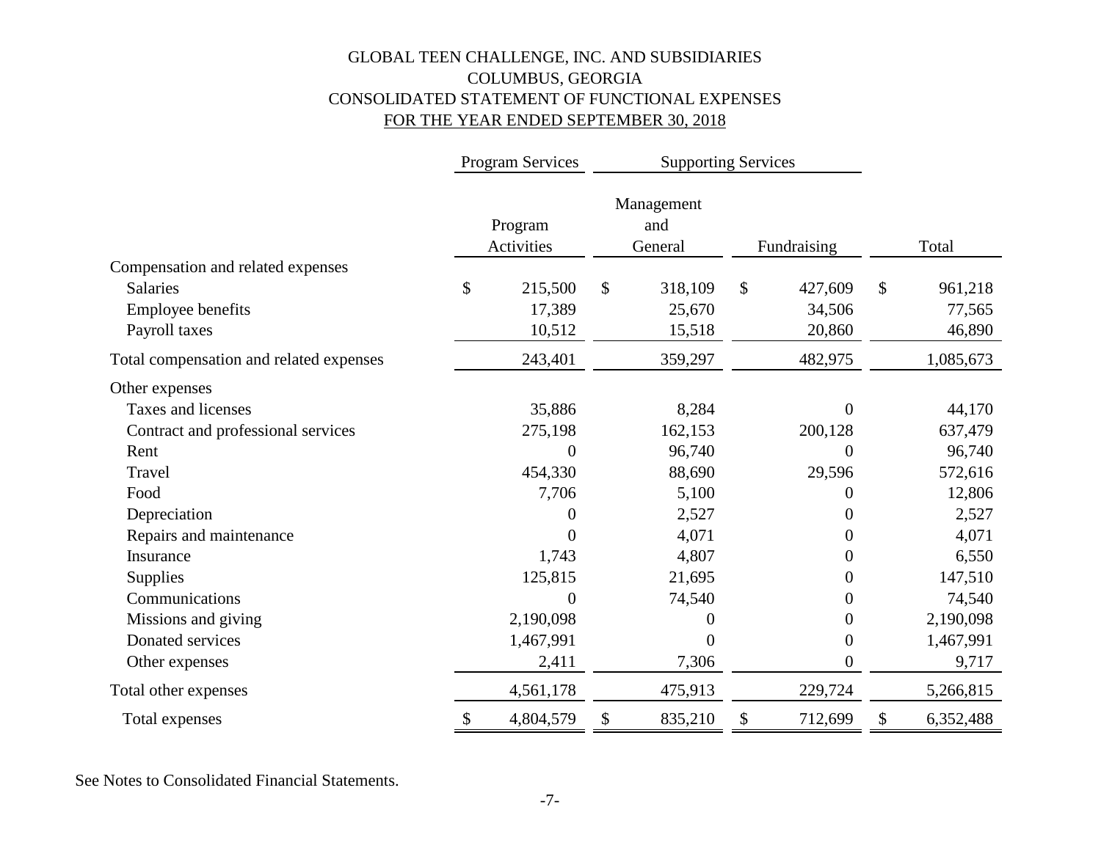## GLOBAL TEEN CHALLENGE, INC. AND SUBSIDIARIES COLUMBUS, GEORGIA CONSOLIDATED STATEMENT OF FUNCTIONAL EXPENSES FOR THE YEAR ENDED SEPTEMBER 30, 2018

|                                         |                            | Program Services      |    |                              | <b>Supporting Services</b> |                  |                 |
|-----------------------------------------|----------------------------|-----------------------|----|------------------------------|----------------------------|------------------|-----------------|
|                                         |                            | Program<br>Activities |    | Management<br>and<br>General |                            | Fundraising      | Total           |
| Compensation and related expenses       |                            |                       |    |                              |                            |                  |                 |
| <b>Salaries</b>                         | \$                         | 215,500               | \$ | 318,109                      | \$                         | 427,609          | \$<br>961,218   |
| <b>Employee benefits</b>                |                            | 17,389                |    | 25,670                       |                            | 34,506           | 77,565          |
| Payroll taxes                           |                            | 10,512                |    | 15,518                       |                            | 20,860           | 46,890          |
| Total compensation and related expenses |                            | 243,401               |    | 359,297                      |                            | 482,975          | 1,085,673       |
| Other expenses                          |                            |                       |    |                              |                            |                  |                 |
| Taxes and licenses                      |                            | 35,886                |    | 8,284                        |                            | $\theta$         | 44,170          |
| Contract and professional services      |                            | 275,198               |    | 162,153                      |                            | 200,128          | 637,479         |
| Rent                                    |                            | $\overline{0}$        |    | 96,740                       |                            | $\overline{0}$   | 96,740          |
| Travel                                  |                            | 454,330               |    | 88,690                       |                            | 29,596           | 572,616         |
| Food                                    |                            | 7,706                 |    | 5,100                        |                            | 0                | 12,806          |
| Depreciation                            |                            | 0                     |    | 2,527                        |                            | 0                | 2,527           |
| Repairs and maintenance                 |                            | 0                     |    | 4,071                        |                            | $\theta$         | 4,071           |
| Insurance                               |                            | 1,743                 |    | 4,807                        |                            | 0                | 6,550           |
| <b>Supplies</b>                         |                            | 125,815               |    | 21,695                       |                            | 0                | 147,510         |
| Communications                          |                            | 0                     |    | 74,540                       |                            | 0                | 74,540          |
| Missions and giving                     |                            | 2,190,098             |    | 0                            |                            | $\theta$         | 2,190,098       |
| Donated services                        |                            | 1,467,991             |    | $\overline{0}$               |                            | $\boldsymbol{0}$ | 1,467,991       |
| Other expenses                          |                            | 2,411                 |    | 7,306                        |                            | $\boldsymbol{0}$ | 9,717           |
| Total other expenses                    |                            | 4,561,178             |    | 475,913                      |                            | 229,724          | 5,266,815       |
| Total expenses                          | $\boldsymbol{\mathsf{\$}}$ | 4,804,579             | \$ | 835,210                      | \$                         | 712,699          | \$<br>6,352,488 |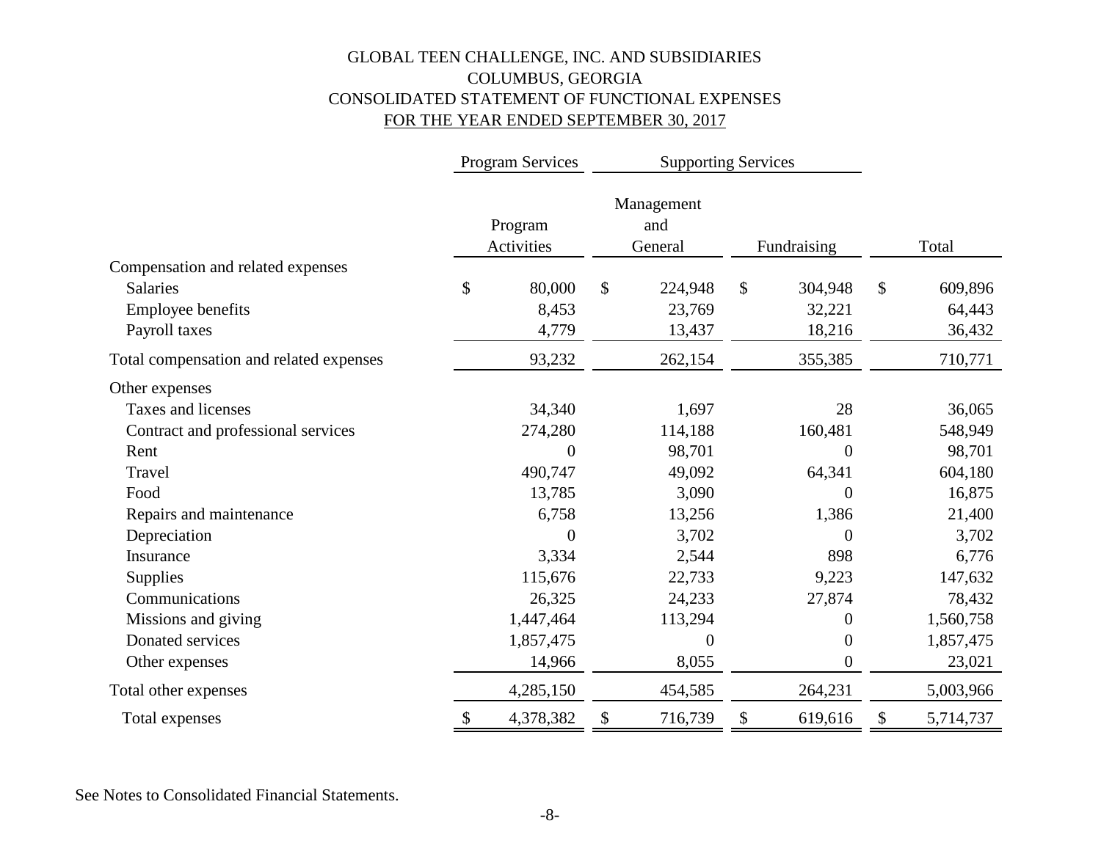## GLOBAL TEEN CHALLENGE, INC. AND SUBSIDIARIES COLUMBUS, GEORGIA CONSOLIDATED STATEMENT OF FUNCTIONAL EXPENSES FOR THE YEAR ENDED SEPTEMBER 30, 2017

|                                         | <b>Program Services</b> | <b>Supporting Services</b> |                              |                  |              |           |
|-----------------------------------------|-------------------------|----------------------------|------------------------------|------------------|--------------|-----------|
|                                         | Program<br>Activities   |                            | Management<br>and<br>General | Fundraising      |              | Total     |
| Compensation and related expenses       |                         |                            |                              |                  |              |           |
| <b>Salaries</b>                         | \$<br>80,000            | \$                         | 224,948                      | \$<br>304,948    | $\mathbb{S}$ | 609,896   |
| Employee benefits                       | 8,453                   |                            | 23,769                       | 32,221           |              | 64,443    |
| Payroll taxes                           | 4,779                   |                            | 13,437                       | 18,216           |              | 36,432    |
| Total compensation and related expenses | 93,232                  |                            | 262,154                      | 355,385          |              | 710,771   |
| Other expenses                          |                         |                            |                              |                  |              |           |
| Taxes and licenses                      | 34,340                  |                            | 1,697                        | 28               |              | 36,065    |
| Contract and professional services      | 274,280                 |                            | 114,188                      | 160,481          |              | 548,949   |
| Rent                                    | $\overline{0}$          |                            | 98,701                       | $\overline{0}$   |              | 98,701    |
| Travel                                  | 490,747                 |                            | 49,092                       | 64,341           |              | 604,180   |
| Food                                    | 13,785                  |                            | 3,090                        | $\overline{0}$   |              | 16,875    |
| Repairs and maintenance                 | 6,758                   |                            | 13,256                       | 1,386            |              | 21,400    |
| Depreciation                            | $\theta$                |                            | 3,702                        | $\overline{0}$   |              | 3,702     |
| Insurance                               | 3,334                   |                            | 2,544                        | 898              |              | 6,776     |
| Supplies                                | 115,676                 |                            | 22,733                       | 9,223            |              | 147,632   |
| Communications                          | 26,325                  |                            | 24,233                       | 27,874           |              | 78,432    |
| Missions and giving                     | 1,447,464               |                            | 113,294                      | $\boldsymbol{0}$ |              | 1,560,758 |
| Donated services                        | 1,857,475               |                            | $\theta$                     | $\theta$         |              | 1,857,475 |
| Other expenses                          | 14,966                  |                            | 8,055                        | $\boldsymbol{0}$ |              | 23,021    |
| Total other expenses                    | 4,285,150               |                            | 454,585                      | 264,231          |              | 5,003,966 |
| Total expenses                          | \$<br>4,378,382         | \$                         | 716,739                      | \$<br>619,616    | \$           | 5,714,737 |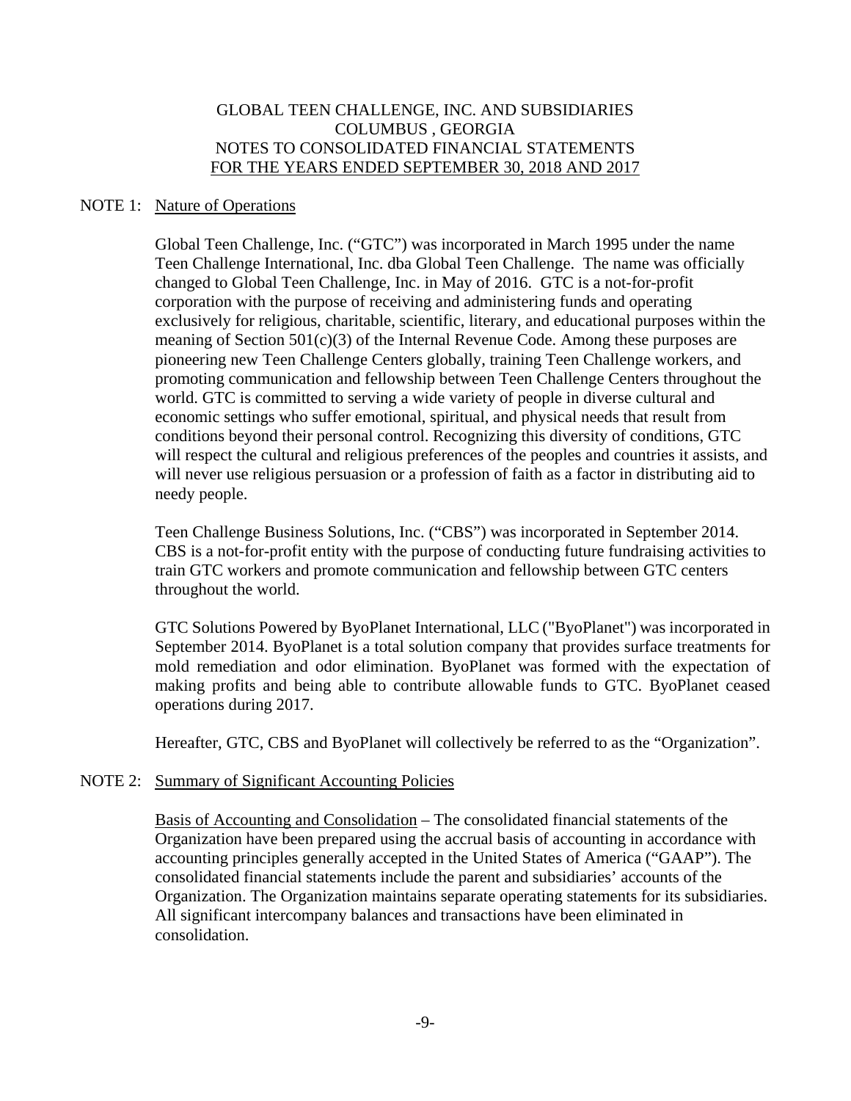### NOTE 1: Nature of Operations

Global Teen Challenge, Inc. ("GTC") was incorporated in March 1995 under the name Teen Challenge International, Inc. dba Global Teen Challenge. The name was officially changed to Global Teen Challenge, Inc. in May of 2016. GTC is a not-for-profit corporation with the purpose of receiving and administering funds and operating exclusively for religious, charitable, scientific, literary, and educational purposes within the meaning of Section 501(c)(3) of the Internal Revenue Code. Among these purposes are pioneering new Teen Challenge Centers globally, training Teen Challenge workers, and promoting communication and fellowship between Teen Challenge Centers throughout the world. GTC is committed to serving a wide variety of people in diverse cultural and economic settings who suffer emotional, spiritual, and physical needs that result from conditions beyond their personal control. Recognizing this diversity of conditions, GTC will respect the cultural and religious preferences of the peoples and countries it assists, and will never use religious persuasion or a profession of faith as a factor in distributing aid to needy people.

Teen Challenge Business Solutions, Inc. ("CBS") was incorporated in September 2014. CBS is a not-for-profit entity with the purpose of conducting future fundraising activities to train GTC workers and promote communication and fellowship between GTC centers throughout the world.

GTC Solutions Powered by ByoPlanet International, LLC ("ByoPlanet") was incorporated in September 2014. ByoPlanet is a total solution company that provides surface treatments for mold remediation and odor elimination. ByoPlanet was formed with the expectation of making profits and being able to contribute allowable funds to GTC. ByoPlanet ceased operations during 2017.

Hereafter, GTC, CBS and ByoPlanet will collectively be referred to as the "Organization".

#### NOTE 2: Summary of Significant Accounting Policies

Basis of Accounting and Consolidation – The consolidated financial statements of the Organization have been prepared using the accrual basis of accounting in accordance with accounting principles generally accepted in the United States of America ("GAAP"). The consolidated financial statements include the parent and subsidiaries' accounts of the Organization. The Organization maintains separate operating statements for its subsidiaries. All significant intercompany balances and transactions have been eliminated in consolidation.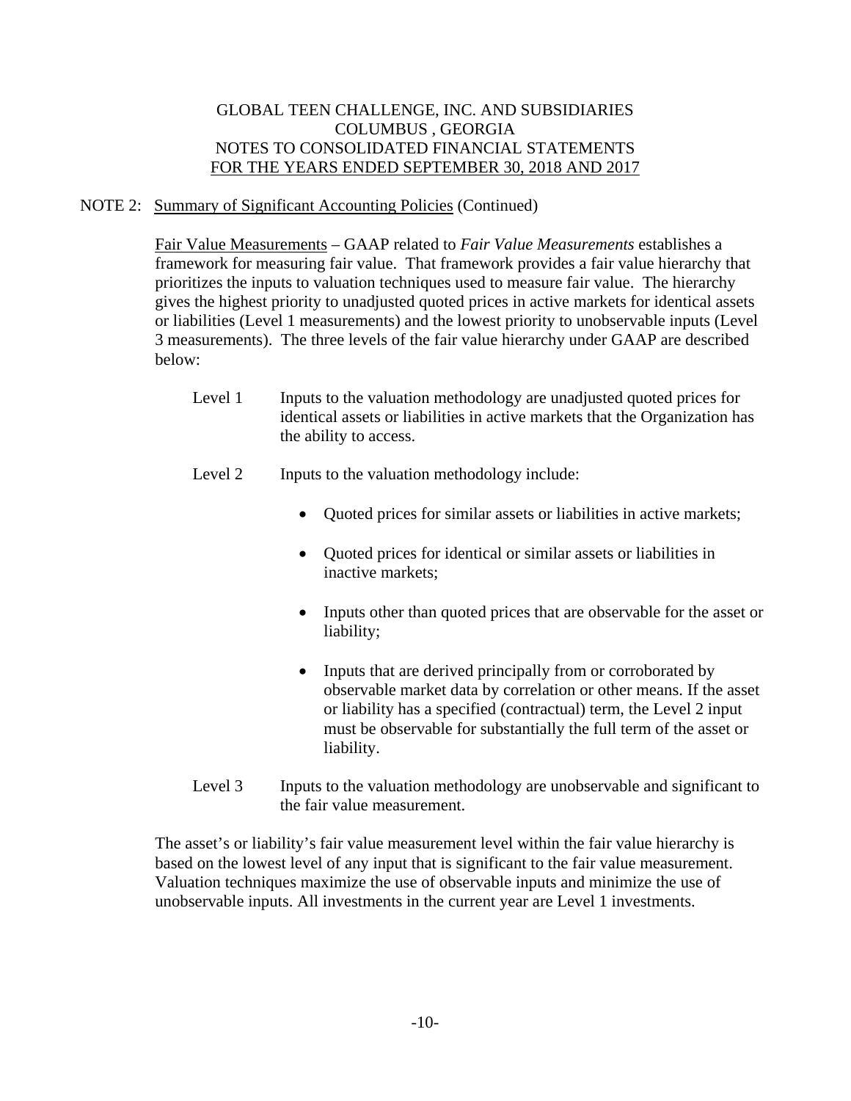## NOTE 2: Summary of Significant Accounting Policies (Continued)

Fair Value Measurements – GAAP related to *Fair Value Measurements* establishes a framework for measuring fair value. That framework provides a fair value hierarchy that prioritizes the inputs to valuation techniques used to measure fair value. The hierarchy gives the highest priority to unadjusted quoted prices in active markets for identical assets or liabilities (Level 1 measurements) and the lowest priority to unobservable inputs (Level 3 measurements). The three levels of the fair value hierarchy under GAAP are described below:

- Level 1 Inputs to the valuation methodology are unadjusted quoted prices for identical assets or liabilities in active markets that the Organization has the ability to access.
- Level 2 Inputs to the valuation methodology include:
	- Ouoted prices for similar assets or liabilities in active markets;
	- Quoted prices for identical or similar assets or liabilities in inactive markets;
	- Inputs other than quoted prices that are observable for the asset or liability;
	- Inputs that are derived principally from or corroborated by observable market data by correlation or other means. If the asset or liability has a specified (contractual) term, the Level 2 input must be observable for substantially the full term of the asset or liability.
- Level 3 Inputs to the valuation methodology are unobservable and significant to the fair value measurement.

 The asset's or liability's fair value measurement level within the fair value hierarchy is based on the lowest level of any input that is significant to the fair value measurement. Valuation techniques maximize the use of observable inputs and minimize the use of unobservable inputs. All investments in the current year are Level 1 investments.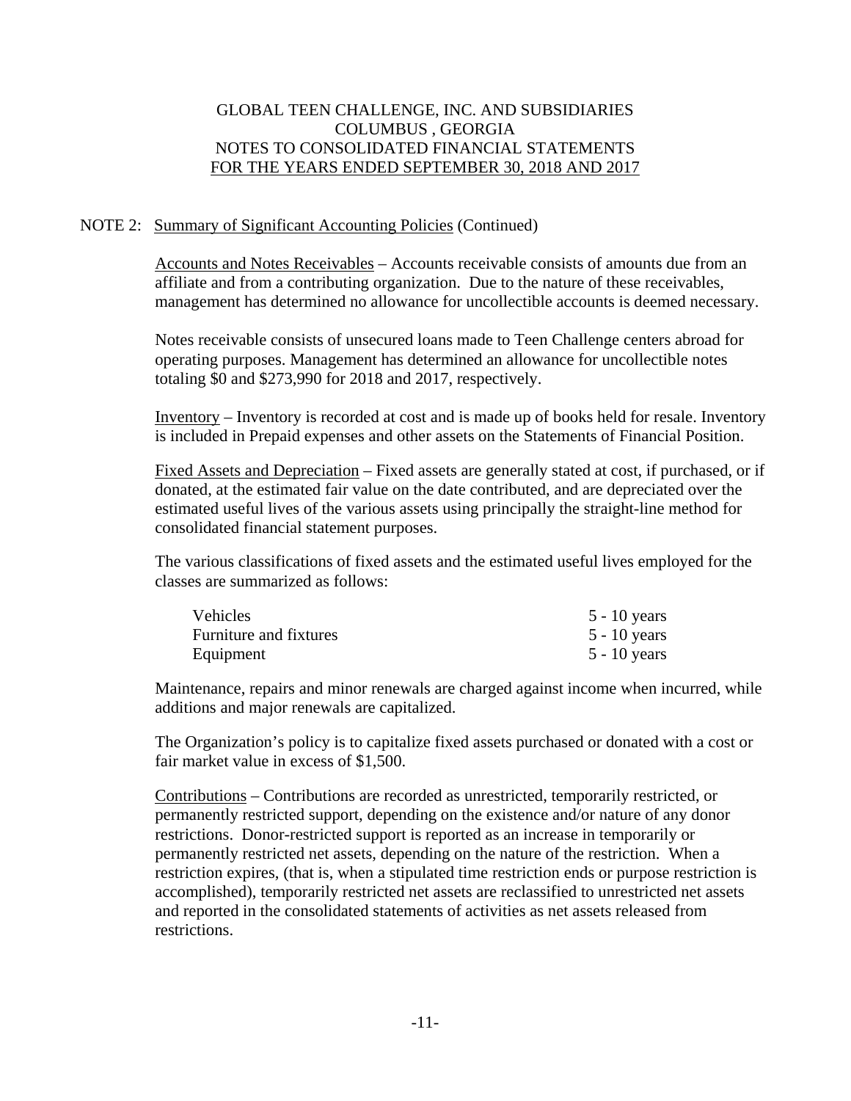## NOTE 2: Summary of Significant Accounting Policies (Continued)

 Accounts and Notes Receivables – Accounts receivable consists of amounts due from an affiliate and from a contributing organization. Due to the nature of these receivables, management has determined no allowance for uncollectible accounts is deemed necessary.

 Notes receivable consists of unsecured loans made to Teen Challenge centers abroad for operating purposes. Management has determined an allowance for uncollectible notes totaling \$0 and \$273,990 for 2018 and 2017, respectively.

 Inventory – Inventory is recorded at cost and is made up of books held for resale. Inventory is included in Prepaid expenses and other assets on the Statements of Financial Position.

 Fixed Assets and Depreciation – Fixed assets are generally stated at cost, if purchased, or if donated, at the estimated fair value on the date contributed, and are depreciated over the estimated useful lives of the various assets using principally the straight-line method for consolidated financial statement purposes.

 The various classifications of fixed assets and the estimated useful lives employed for the classes are summarized as follows:

| <b>Vehicles</b>        | $5 - 10$ years |
|------------------------|----------------|
| Furniture and fixtures | $5 - 10$ years |
| Equipment              | $5 - 10$ years |

 Maintenance, repairs and minor renewals are charged against income when incurred, while additions and major renewals are capitalized.

 The Organization's policy is to capitalize fixed assets purchased or donated with a cost or fair market value in excess of \$1,500.

 Contributions – Contributions are recorded as unrestricted, temporarily restricted, or permanently restricted support, depending on the existence and/or nature of any donor restrictions. Donor-restricted support is reported as an increase in temporarily or permanently restricted net assets, depending on the nature of the restriction. When a restriction expires, (that is, when a stipulated time restriction ends or purpose restriction is accomplished), temporarily restricted net assets are reclassified to unrestricted net assets and reported in the consolidated statements of activities as net assets released from restrictions.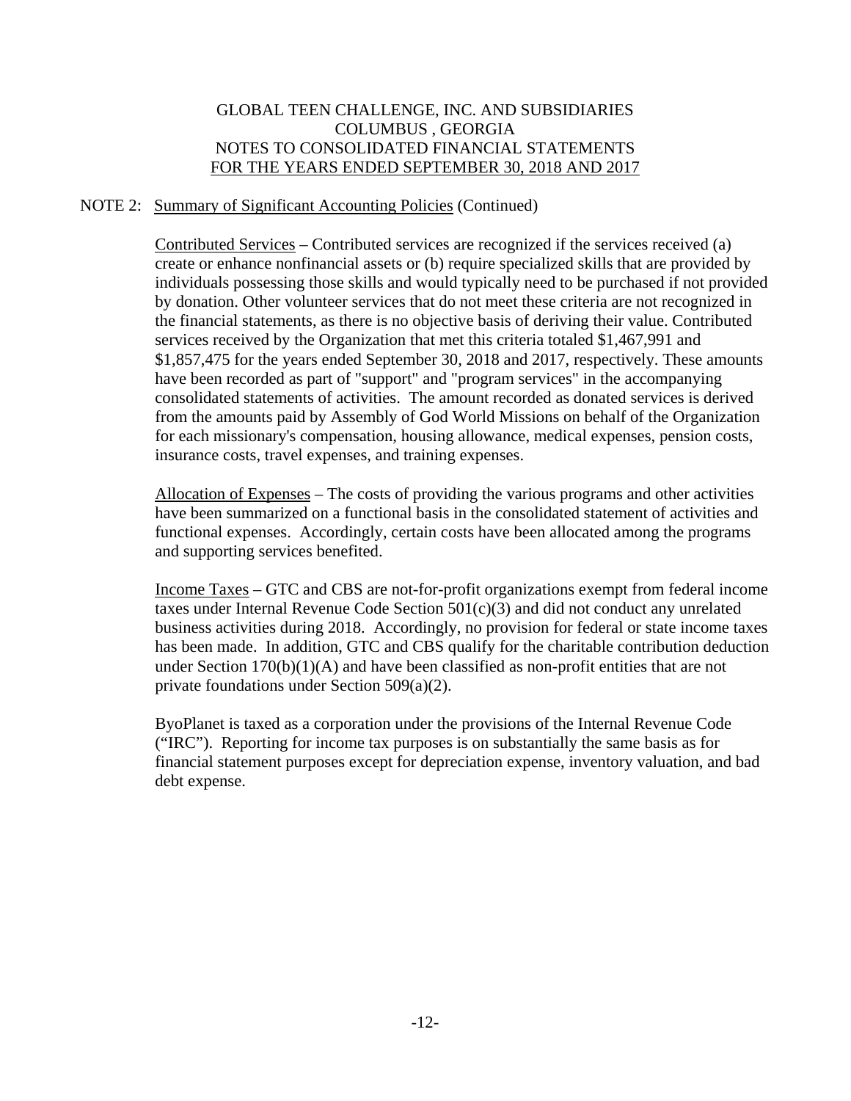## NOTE 2: Summary of Significant Accounting Policies (Continued)

Contributed Services – Contributed services are recognized if the services received (a) create or enhance nonfinancial assets or (b) require specialized skills that are provided by individuals possessing those skills and would typically need to be purchased if not provided by donation. Other volunteer services that do not meet these criteria are not recognized in the financial statements, as there is no objective basis of deriving their value. Contributed services received by the Organization that met this criteria totaled \$1,467,991 and \$1,857,475 for the years ended September 30, 2018 and 2017, respectively. These amounts have been recorded as part of "support" and "program services" in the accompanying consolidated statements of activities. The amount recorded as donated services is derived from the amounts paid by Assembly of God World Missions on behalf of the Organization for each missionary's compensation, housing allowance, medical expenses, pension costs, insurance costs, travel expenses, and training expenses.

 Allocation of Expenses – The costs of providing the various programs and other activities have been summarized on a functional basis in the consolidated statement of activities and functional expenses. Accordingly, certain costs have been allocated among the programs and supporting services benefited.

 Income Taxes – GTC and CBS are not-for-profit organizations exempt from federal income taxes under Internal Revenue Code Section 501(c)(3) and did not conduct any unrelated business activities during 2018. Accordingly, no provision for federal or state income taxes has been made. In addition, GTC and CBS qualify for the charitable contribution deduction under Section  $170(b)(1)(A)$  and have been classified as non-profit entities that are not private foundations under Section 509(a)(2).

 ByoPlanet is taxed as a corporation under the provisions of the Internal Revenue Code ("IRC"). Reporting for income tax purposes is on substantially the same basis as for financial statement purposes except for depreciation expense, inventory valuation, and bad debt expense.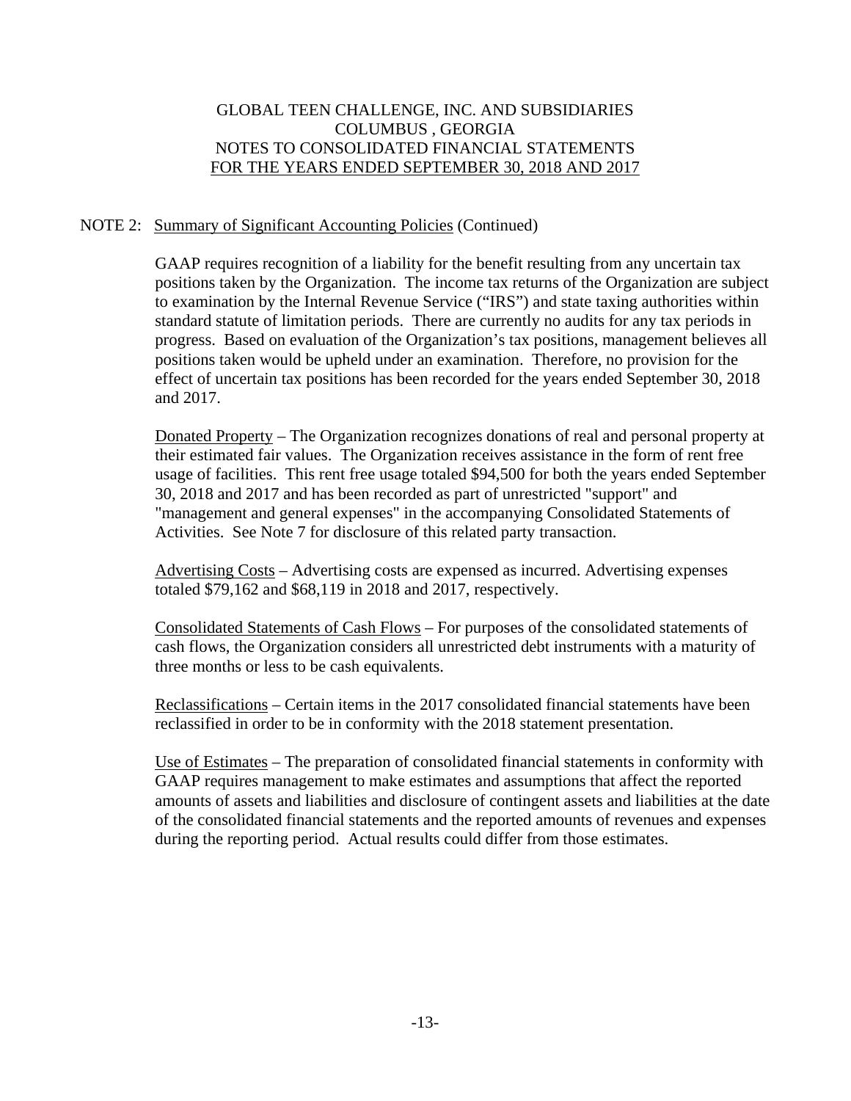## NOTE 2: Summary of Significant Accounting Policies (Continued)

 GAAP requires recognition of a liability for the benefit resulting from any uncertain tax positions taken by the Organization. The income tax returns of the Organization are subject to examination by the Internal Revenue Service ("IRS") and state taxing authorities within standard statute of limitation periods. There are currently no audits for any tax periods in progress. Based on evaluation of the Organization's tax positions, management believes all positions taken would be upheld under an examination. Therefore, no provision for the effect of uncertain tax positions has been recorded for the years ended September 30, 2018 and 2017.

 Donated Property – The Organization recognizes donations of real and personal property at their estimated fair values. The Organization receives assistance in the form of rent free usage of facilities. This rent free usage totaled \$94,500 for both the years ended September 30, 2018 and 2017 and has been recorded as part of unrestricted "support" and "management and general expenses" in the accompanying Consolidated Statements of Activities. See Note 7 for disclosure of this related party transaction.

 Advertising Costs – Advertising costs are expensed as incurred. Advertising expenses totaled \$79,162 and \$68,119 in 2018 and 2017, respectively.

 Consolidated Statements of Cash Flows – For purposes of the consolidated statements of cash flows, the Organization considers all unrestricted debt instruments with a maturity of three months or less to be cash equivalents.

 Reclassifications – Certain items in the 2017 consolidated financial statements have been reclassified in order to be in conformity with the 2018 statement presentation.

 Use of Estimates – The preparation of consolidated financial statements in conformity with GAAP requires management to make estimates and assumptions that affect the reported amounts of assets and liabilities and disclosure of contingent assets and liabilities at the date of the consolidated financial statements and the reported amounts of revenues and expenses during the reporting period. Actual results could differ from those estimates.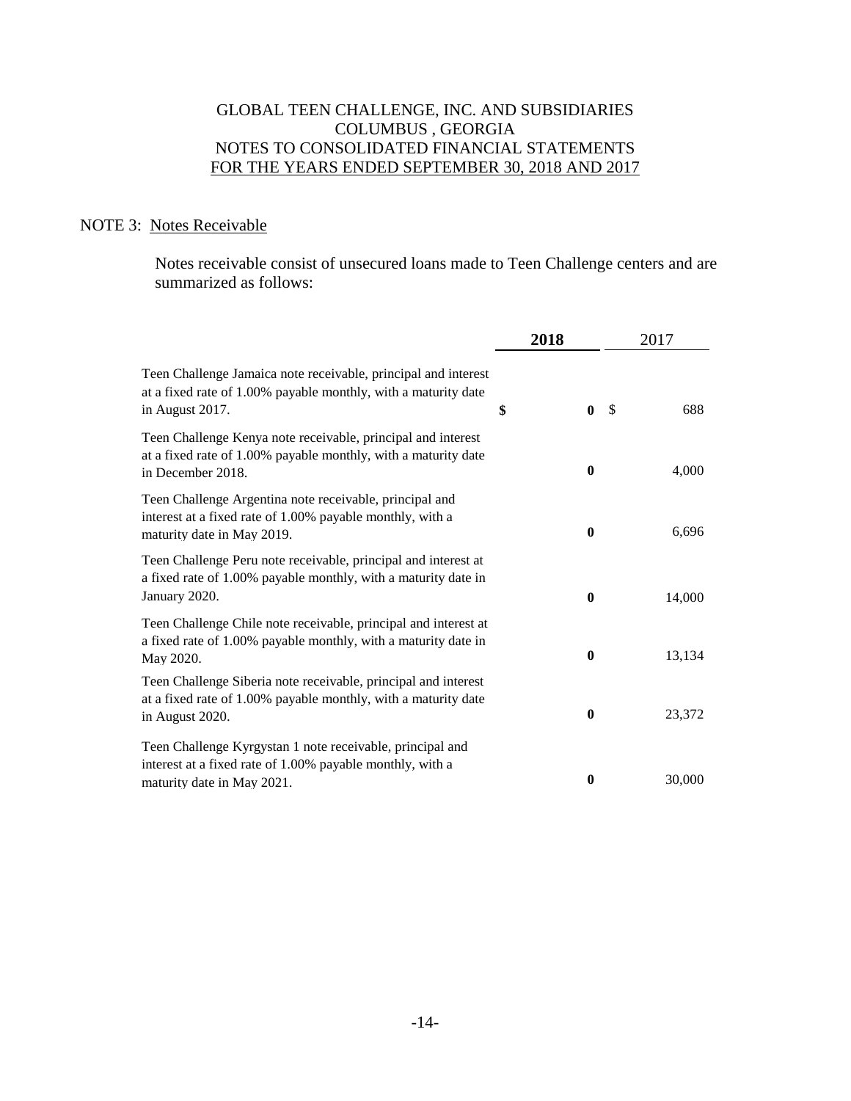## NOTE 3: Notes Receivable

 Notes receivable consist of unsecured loans made to Teen Challenge centers and are summarized as follows:

|                                                                                                                                                      | 2018 |              | 2017          |        |
|------------------------------------------------------------------------------------------------------------------------------------------------------|------|--------------|---------------|--------|
| Teen Challenge Jamaica note receivable, principal and interest<br>at a fixed rate of 1.00% payable monthly, with a maturity date<br>in August 2017.  | \$   | $\mathbf{0}$ | $\mathcal{S}$ | 688    |
| Teen Challenge Kenya note receivable, principal and interest<br>at a fixed rate of 1.00% payable monthly, with a maturity date<br>in December 2018.  |      | $\mathbf{0}$ |               | 4,000  |
| Teen Challenge Argentina note receivable, principal and<br>interest at a fixed rate of 1.00% payable monthly, with a<br>maturity date in May 2019.   |      | $\mathbf{0}$ |               | 6,696  |
| Teen Challenge Peru note receivable, principal and interest at<br>a fixed rate of 1.00% payable monthly, with a maturity date in<br>January 2020.    |      | $\mathbf{0}$ |               | 14,000 |
| Teen Challenge Chile note receivable, principal and interest at<br>a fixed rate of 1.00% payable monthly, with a maturity date in<br>May 2020.       |      | $\bf{0}$     |               | 13,134 |
| Teen Challenge Siberia note receivable, principal and interest<br>at a fixed rate of 1.00% payable monthly, with a maturity date<br>in August 2020.  |      | $\bf{0}$     |               | 23,372 |
| Teen Challenge Kyrgystan 1 note receivable, principal and<br>interest at a fixed rate of 1.00% payable monthly, with a<br>maturity date in May 2021. |      | $\bf{0}$     |               | 30,000 |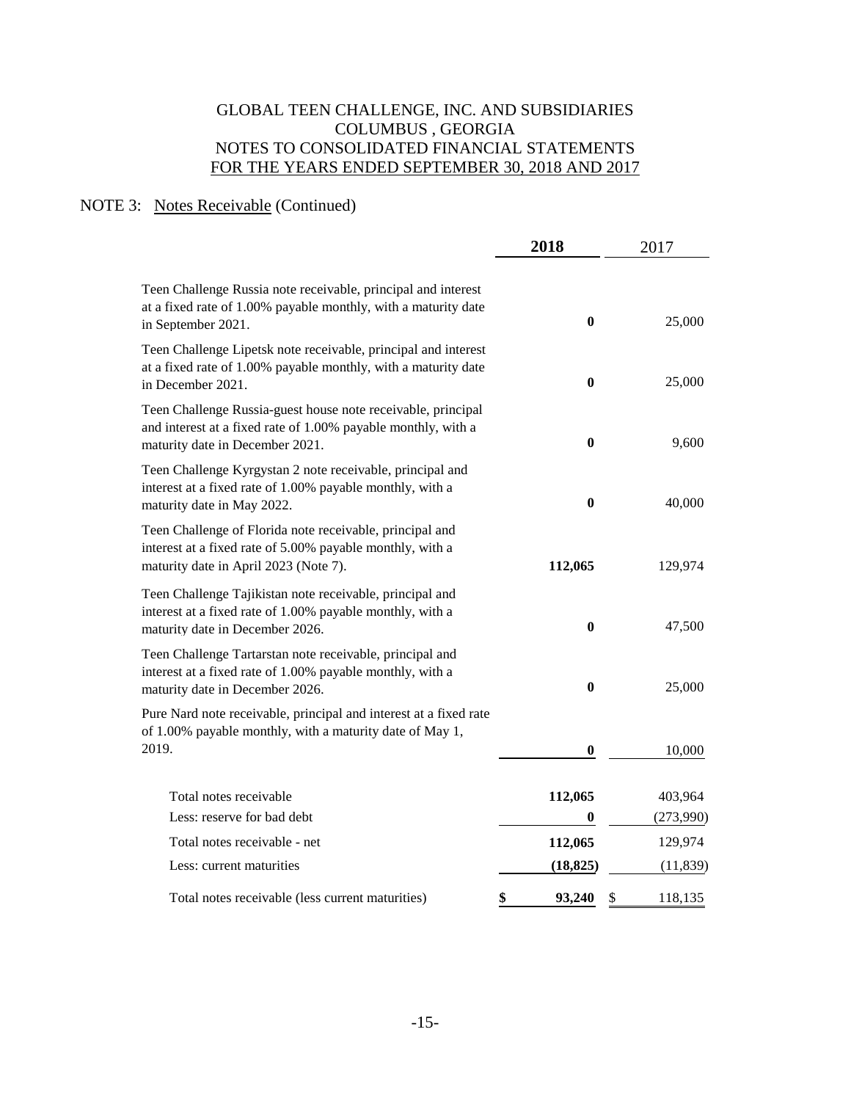## NOTE 3: Notes Receivable (Continued)

|                                                                                                                                                                  | 2018         | 2017          |
|------------------------------------------------------------------------------------------------------------------------------------------------------------------|--------------|---------------|
| Teen Challenge Russia note receivable, principal and interest<br>at a fixed rate of 1.00% payable monthly, with a maturity date<br>in September 2021.            | $\bf{0}$     | 25,000        |
| Teen Challenge Lipetsk note receivable, principal and interest<br>at a fixed rate of 1.00% payable monthly, with a maturity date<br>in December 2021.            | $\bf{0}$     | 25,000        |
| Teen Challenge Russia-guest house note receivable, principal<br>and interest at a fixed rate of 1.00% payable monthly, with a<br>maturity date in December 2021. | $\bf{0}$     | 9,600         |
| Teen Challenge Kyrgystan 2 note receivable, principal and<br>interest at a fixed rate of 1.00% payable monthly, with a<br>maturity date in May 2022.             | $\bf{0}$     | 40,000        |
| Teen Challenge of Florida note receivable, principal and<br>interest at a fixed rate of 5.00% payable monthly, with a<br>maturity date in April 2023 (Note 7).   | 112,065      | 129,974       |
| Teen Challenge Tajikistan note receivable, principal and<br>interest at a fixed rate of 1.00% payable monthly, with a<br>maturity date in December 2026.         | $\bf{0}$     | 47,500        |
| Teen Challenge Tartarstan note receivable, principal and<br>interest at a fixed rate of 1.00% payable monthly, with a<br>maturity date in December 2026.         | $\bf{0}$     | 25,000        |
| Pure Nard note receivable, principal and interest at a fixed rate<br>of 1.00% payable monthly, with a maturity date of May 1,<br>2019.                           | 0            | 10,000        |
| Total notes receivable                                                                                                                                           | 112,065      | 403,964       |
| Less: reserve for bad debt                                                                                                                                       | 0            | (273,990)     |
| Total notes receivable - net                                                                                                                                     | 112,065      | 129,974       |
| Less: current maturities                                                                                                                                         | (18, 825)    | (11, 839)     |
| Total notes receivable (less current maturities)                                                                                                                 | \$<br>93,240 | \$<br>118,135 |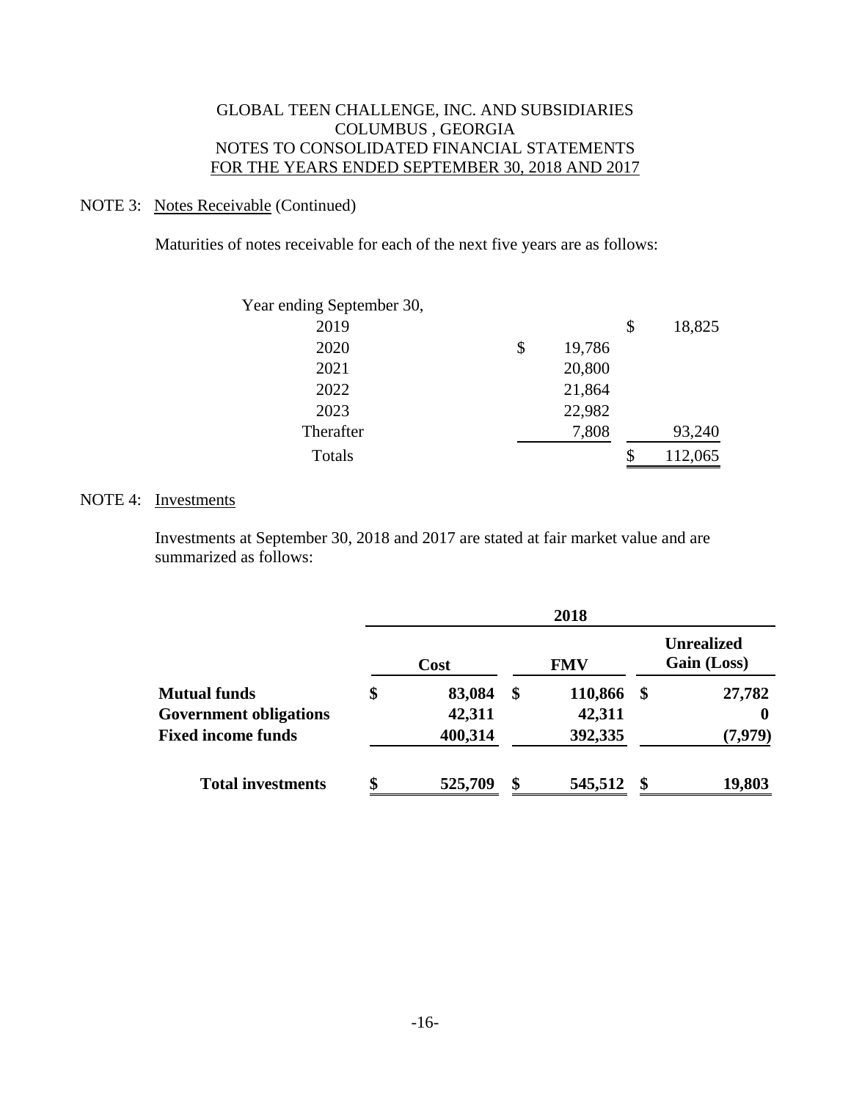### NOTE 3: Notes Receivable (Continued)

Maturities of notes receivable for each of the next five years are as follows:

| Year ending September 30, |              |              |
|---------------------------|--------------|--------------|
| 2019                      |              | \$<br>18,825 |
| 2020                      | \$<br>19,786 |              |
| 2021                      | 20,800       |              |
| 2022                      | 21,864       |              |
| 2023                      | 22,982       |              |
| Therafter                 | 7,808        | 93,240       |
| Totals                    |              | 112,065      |

### NOTE 4: Investments

 Investments at September 30, 2018 and 2017 are stated at fair market value and are summarized as follows:

|                               |              | 2018          |      |                                  |
|-------------------------------|--------------|---------------|------|----------------------------------|
|                               | Cost         | <b>FMV</b>    |      | <b>Unrealized</b><br>Gain (Loss) |
| <b>Mutual funds</b>           | \$<br>83,084 | \$<br>110,866 | - \$ | 27,782                           |
| <b>Government obligations</b> | 42,311       | 42,311        |      | 0                                |
| <b>Fixed income funds</b>     | 400,314      | 392,335       |      | (7,979)                          |
| <b>Total investments</b>      | 525,709      | \$<br>545,512 |      | 19,803                           |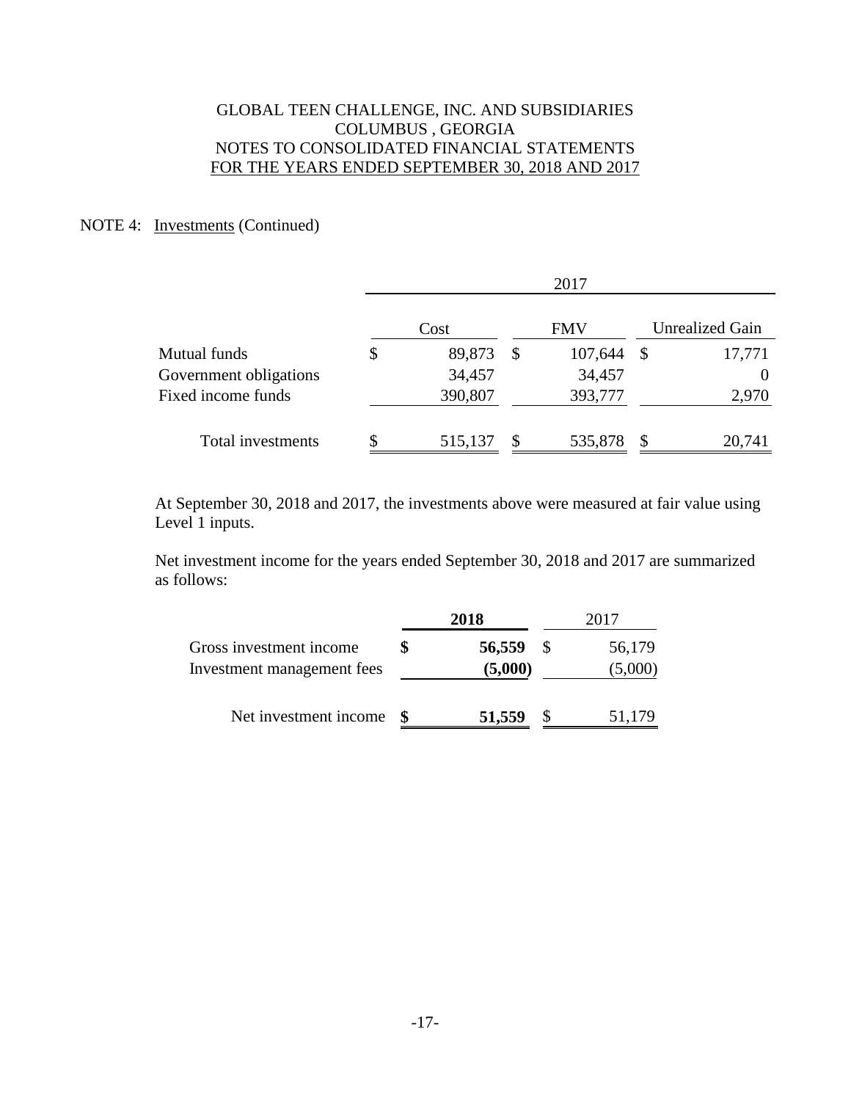## NOTE 4: Investments (Continued)

|                        | 2017 |         |    |            |              |                        |  |
|------------------------|------|---------|----|------------|--------------|------------------------|--|
|                        |      | Cost    |    | <b>FMV</b> |              | <b>Unrealized Gain</b> |  |
| Mutual funds           | \$   | 89,873  | \$ | 107,644    | $\mathbb{S}$ | 17,771                 |  |
| Government obligations |      | 34,457  |    | 34,457     |              | $\theta$               |  |
| Fixed income funds     |      | 390,807 |    | 393,777    |              | 2,970                  |  |
| Total investments      |      | 515,137 |    | 535,878    | S            | 20,741                 |  |

 At September 30, 2018 and 2017, the investments above were measured at fair value using Level 1 inputs.

 Net investment income for the years ended September 30, 2018 and 2017 are summarized as follows:

|                                                       | 2018              | 2017 |                   |  |
|-------------------------------------------------------|-------------------|------|-------------------|--|
| Gross investment income<br>Investment management fees | 56,559<br>(5,000) |      | 56,179<br>(5,000) |  |
| Net investment income                                 | 51,559            |      | 51,179            |  |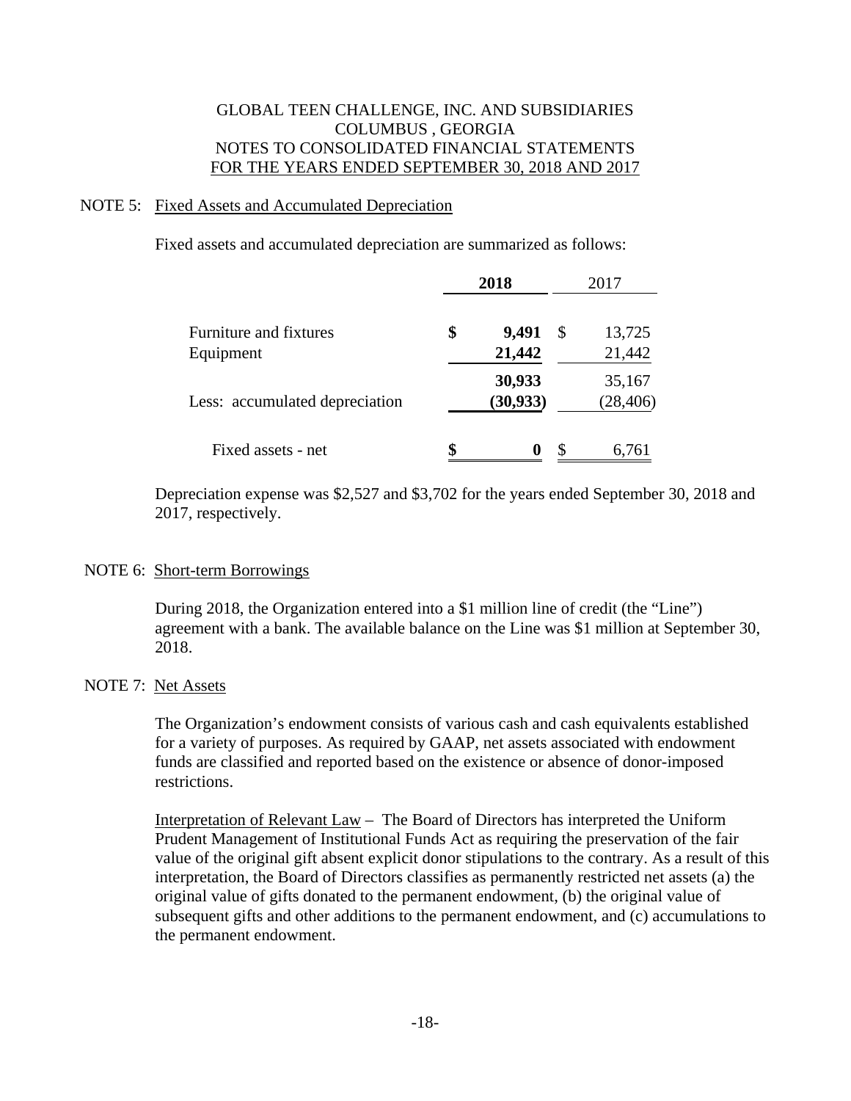### NOTE 5: Fixed Assets and Accumulated Depreciation

Fixed assets and accumulated depreciation are summarized as follows:

|                                | 2018                | 2017 |                     |  |
|--------------------------------|---------------------|------|---------------------|--|
| Furniture and fixtures         | \$<br>9,491         | \$   | 13,725              |  |
| Equipment                      | 21,442              |      | 21,442              |  |
| Less: accumulated depreciation | 30,933<br>(30, 933) |      | 35,167<br>(28, 406) |  |
| Fixed assets - net             | \$                  |      | 6,761               |  |

 Depreciation expense was \$2,527 and \$3,702 for the years ended September 30, 2018 and 2017, respectively.

#### NOTE 6: Short-term Borrowings

During 2018, the Organization entered into a \$1 million line of credit (the "Line") agreement with a bank. The available balance on the Line was \$1 million at September 30, 2018.

### NOTE 7: Net Assets

 The Organization's endowment consists of various cash and cash equivalents established for a variety of purposes. As required by GAAP, net assets associated with endowment funds are classified and reported based on the existence or absence of donor-imposed restrictions.

 Interpretation of Relevant Law – The Board of Directors has interpreted the Uniform Prudent Management of Institutional Funds Act as requiring the preservation of the fair value of the original gift absent explicit donor stipulations to the contrary. As a result of this interpretation, the Board of Directors classifies as permanently restricted net assets (a) the original value of gifts donated to the permanent endowment, (b) the original value of subsequent gifts and other additions to the permanent endowment, and (c) accumulations to the permanent endowment.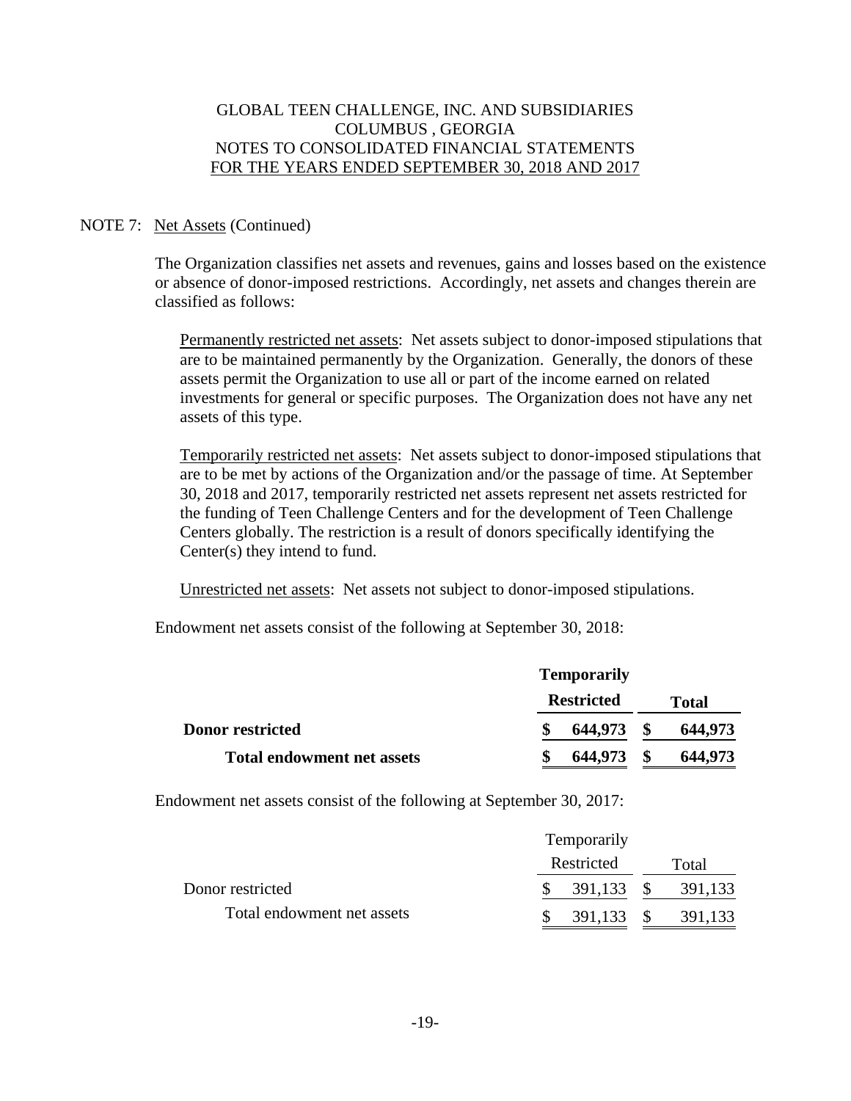### NOTE 7: Net Assets (Continued)

The Organization classifies net assets and revenues, gains and losses based on the existence or absence of donor-imposed restrictions. Accordingly, net assets and changes therein are classified as follows:

Permanently restricted net assets: Net assets subject to donor-imposed stipulations that are to be maintained permanently by the Organization. Generally, the donors of these assets permit the Organization to use all or part of the income earned on related investments for general or specific purposes. The Organization does not have any net assets of this type.

Temporarily restricted net assets: Net assets subject to donor-imposed stipulations that are to be met by actions of the Organization and/or the passage of time. At September 30, 2018 and 2017, temporarily restricted net assets represent net assets restricted for the funding of Teen Challenge Centers and for the development of Teen Challenge Centers globally. The restriction is a result of donors specifically identifying the Center(s) they intend to fund.

Unrestricted net assets: Net assets not subject to donor-imposed stipulations.

Endowment net assets consist of the following at September 30, 2018:

|                                   | <b>Temporarily</b> |                   |              |         |  |
|-----------------------------------|--------------------|-------------------|--------------|---------|--|
|                                   |                    | <b>Restricted</b> | <b>Total</b> |         |  |
| <b>Donor restricted</b>           |                    | 644,973           |              | 644,973 |  |
| <b>Total endowment net assets</b> |                    | 644,973           |              | 644,973 |  |

Endowment net assets consist of the following at September 30, 2017:

|                            | Temporarily |            |  |         |  |  |
|----------------------------|-------------|------------|--|---------|--|--|
|                            | Restricted  |            |  | Total   |  |  |
| Donor restricted           |             |            |  | 391,133 |  |  |
| Total endowment net assets |             | 391,133 \$ |  | 391,133 |  |  |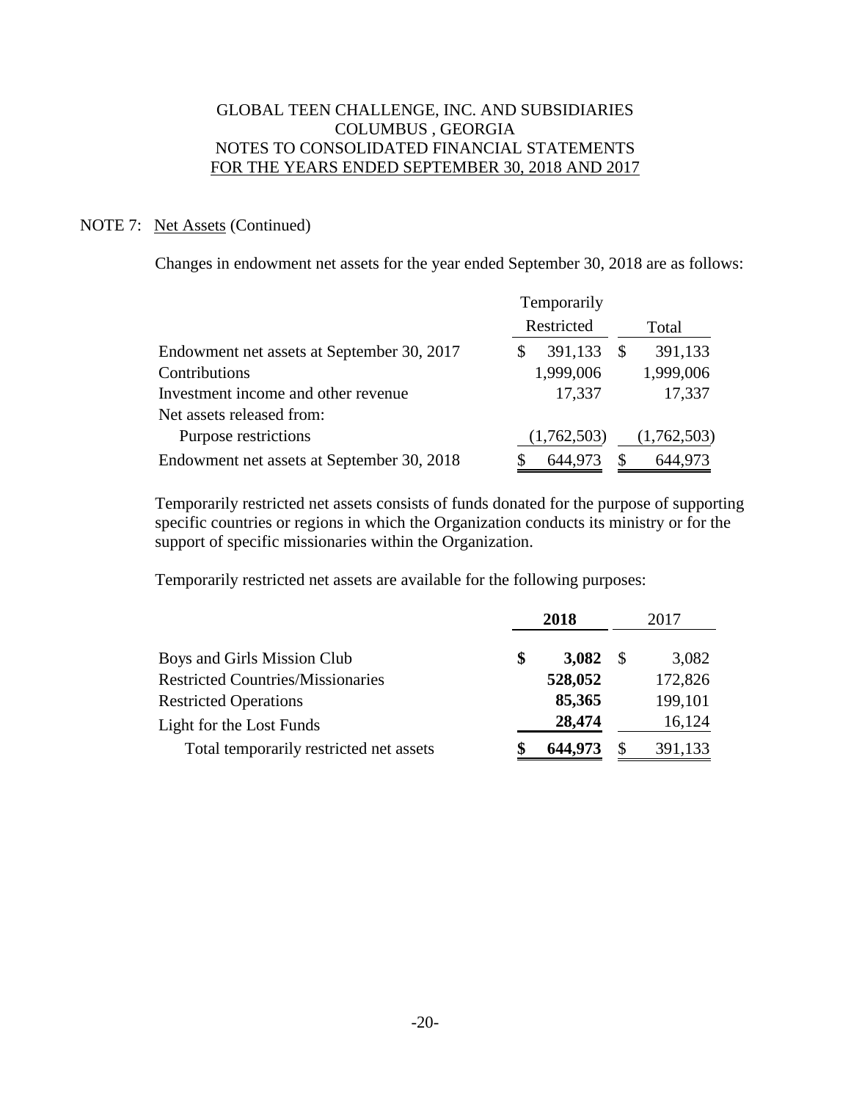### NOTE 7: Net Assets (Continued)

Changes in endowment net assets for the year ended September 30, 2018 are as follows:

|                                            | Temporarily                   |             |
|--------------------------------------------|-------------------------------|-------------|
|                                            | Restricted                    | Total       |
| Endowment net assets at September 30, 2017 | 391,133<br><sup>\$</sup><br>S | 391,133     |
| Contributions                              | 1,999,006                     | 1,999,006   |
| Investment income and other revenue        | 17,337                        | 17,337      |
| Net assets released from:                  |                               |             |
| Purpose restrictions                       | (1,762,503)                   | (1,762,503) |
| Endowment net assets at September 30, 2018 | S<br>644,973                  | 644,973     |

 Temporarily restricted net assets consists of funds donated for the purpose of supporting specific countries or regions in which the Organization conducts its ministry or for the support of specific missionaries within the Organization.

Temporarily restricted net assets are available for the following purposes:

|                                          | 2018 |         |              | 2017    |  |  |
|------------------------------------------|------|---------|--------------|---------|--|--|
| Boys and Girls Mission Club              | \$   | 3,082   | S            | 3,082   |  |  |
| <b>Restricted Countries/Missionaries</b> |      | 528,052 |              | 172,826 |  |  |
| <b>Restricted Operations</b>             |      | 85,365  |              | 199,101 |  |  |
| Light for the Lost Funds                 |      | 28,474  |              | 16,124  |  |  |
| Total temporarily restricted net assets  | \$   | 644,973 | <sup>8</sup> | 391,133 |  |  |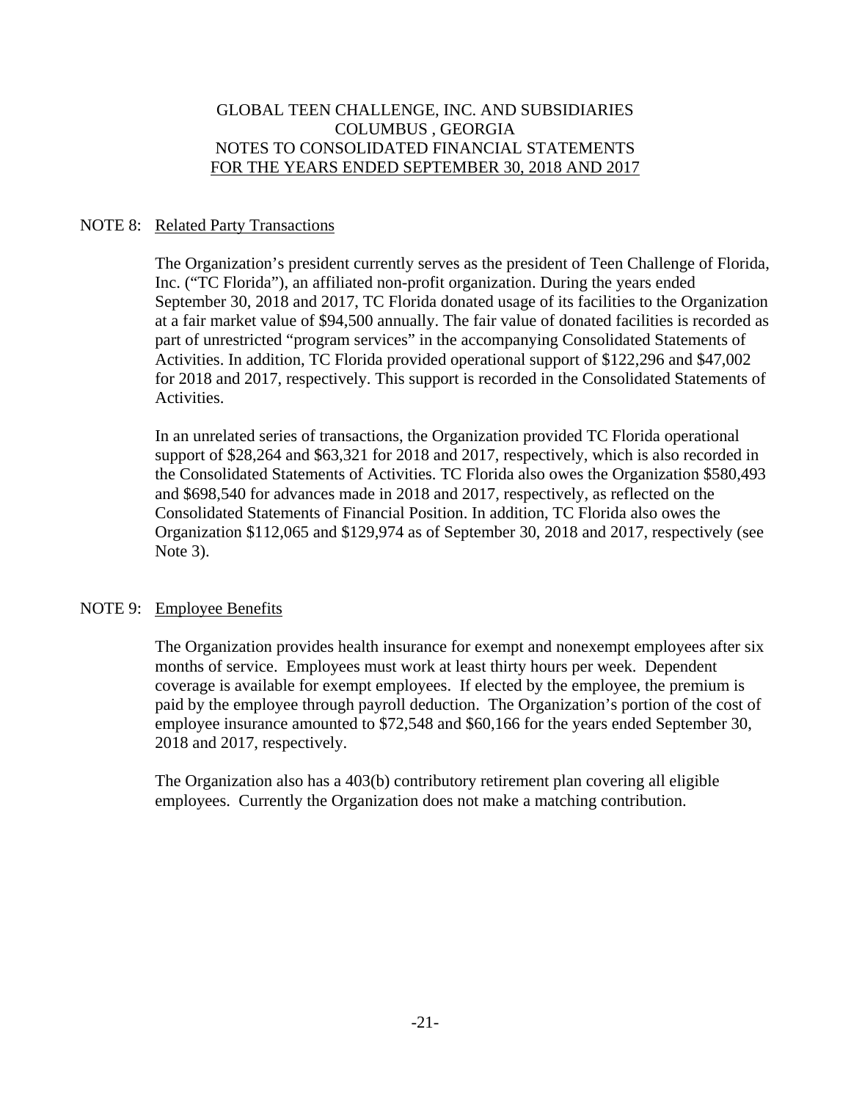## NOTE 8: Related Party Transactions

 The Organization's president currently serves as the president of Teen Challenge of Florida, Inc. ("TC Florida"), an affiliated non-profit organization. During the years ended September 30, 2018 and 2017, TC Florida donated usage of its facilities to the Organization at a fair market value of \$94,500 annually. The fair value of donated facilities is recorded as part of unrestricted "program services" in the accompanying Consolidated Statements of Activities. In addition, TC Florida provided operational support of \$122,296 and \$47,002 for 2018 and 2017, respectively. This support is recorded in the Consolidated Statements of Activities.

 In an unrelated series of transactions, the Organization provided TC Florida operational support of \$28,264 and \$63,321 for 2018 and 2017, respectively, which is also recorded in the Consolidated Statements of Activities. TC Florida also owes the Organization \$580,493 and \$698,540 for advances made in 2018 and 2017, respectively, as reflected on the Consolidated Statements of Financial Position. In addition, TC Florida also owes the Organization \$112,065 and \$129,974 as of September 30, 2018 and 2017, respectively (see Note 3).

### NOTE 9: Employee Benefits

 The Organization provides health insurance for exempt and nonexempt employees after six months of service. Employees must work at least thirty hours per week. Dependent coverage is available for exempt employees. If elected by the employee, the premium is paid by the employee through payroll deduction. The Organization's portion of the cost of employee insurance amounted to \$72,548 and \$60,166 for the years ended September 30, 2018 and 2017, respectively.

 The Organization also has a 403(b) contributory retirement plan covering all eligible employees. Currently the Organization does not make a matching contribution.